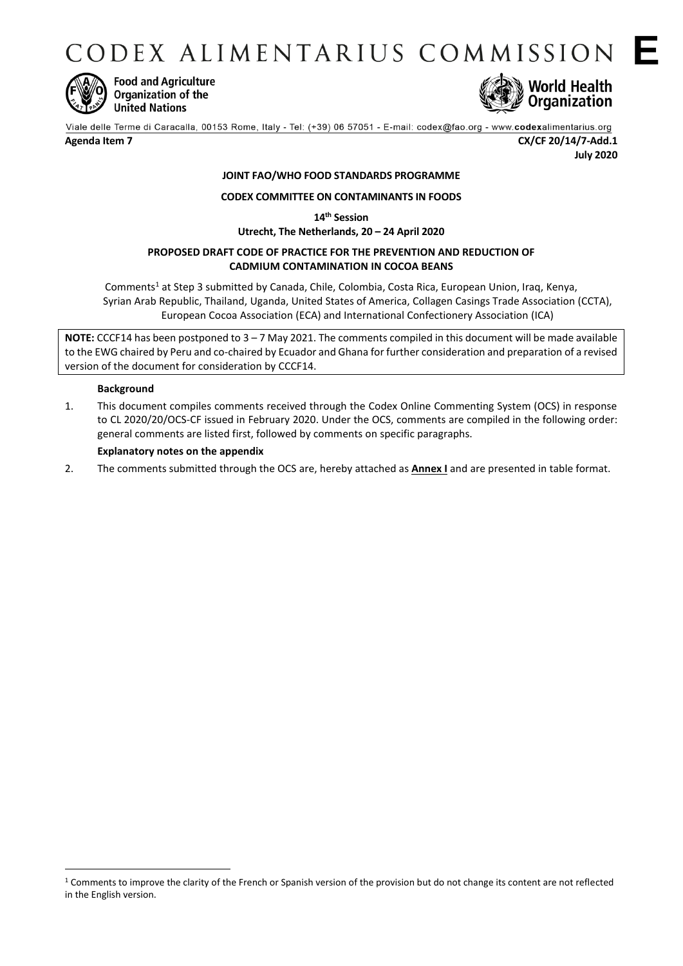CODEX ALIMENTARIUS COMMISSION E



**Food and Agriculture** Organization of the **United Nations** 



Viale delle Terme di Caracalla, 00153 Rome, Italy - Tel: (+39) 06 57051 - E-mail: codex@fao.org - www.codexalimentarius.org

**Agenda Item 7 CX/CF 20/14/7-Add.1 July 2020**

# **JOINT FAO/WHO FOOD STANDARDS PROGRAMME**

## **CODEX COMMITTEE ON CONTAMINANTS IN FOODS**

**14th Session**

**Utrecht, The Netherlands, 20 – 24 April 2020**

## **PROPOSED DRAFT CODE OF PRACTICE FOR THE PREVENTION AND REDUCTION OF CADMIUM CONTAMINATION IN COCOA BEANS**

Comments<sup>1</sup> at Step 3 submitted by Canada, Chile, Colombia, Costa Rica, European Union, Iraq, Kenya, Syrian Arab Republic, Thailand, Uganda, United States of America, [Collagen Casings Trade Association](http://www.fao.org/fao-who-codexalimentarius/about-codex/observers/detail/en/c/79727/) (CCTA), European Cocoa Association (ECA) and International Confectionery Association (ICA)

**NOTE:** CCCF14 has been postponed to 3 – 7 May 2021. The comments compiled in this document will be made available to the EWG chaired by Peru and co-chaired by Ecuador and Ghana for further consideration and preparation of a revised version of the document for consideration by CCCF14.

### **Background**

1

1. This document compiles comments received through the Codex Online Commenting System (OCS) in response to CL 2020/20/OCS-CF issued in February 2020. Under the OCS, comments are compiled in the following order: general comments are listed first, followed by comments on specific paragraphs.

## **Explanatory notes on the appendix**

2. The comments submitted through the OCS are, hereby attached as **Annex I** and are presented in table format.

<sup>&</sup>lt;sup>1</sup> Comments to improve the clarity of the French or Spanish version of the provision but do not change its content are not reflected in the English version.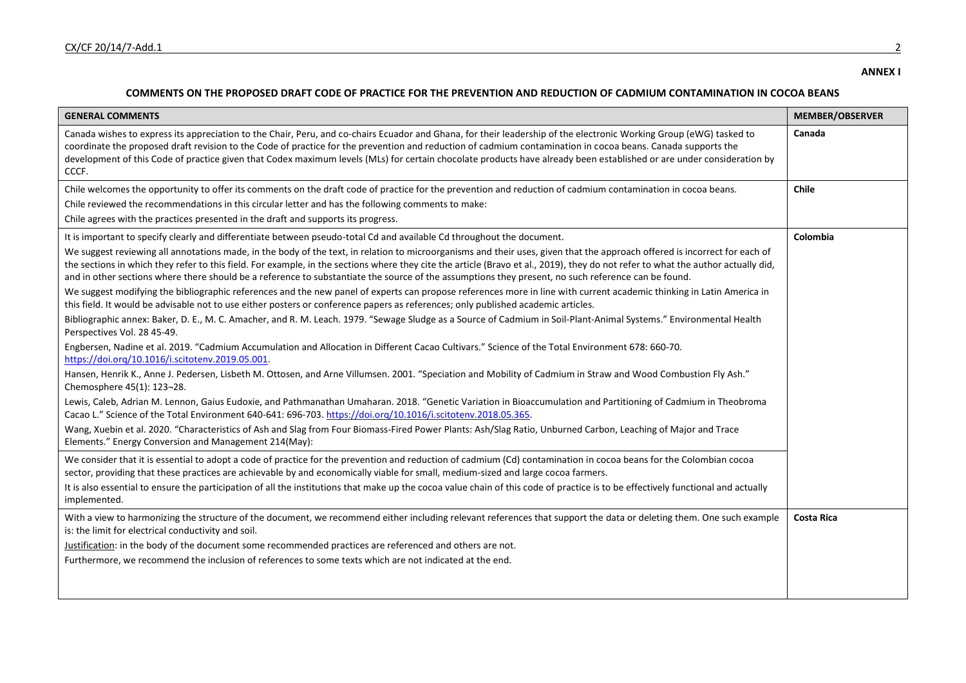#### **COMMENTS ON THE PROPOSED DRAFT CODE OF PRACTICE FOR THE PREVENTION AND REDUCTION OF CADMIUM CONTAMINATION IN COCOA BEANS**

| <b>GENERAL COMMENTS</b>                                                                                                                                                                                                                                                                                                                                                                                                                                                                                                | <b>MEMBER/OBSERVER</b> |
|------------------------------------------------------------------------------------------------------------------------------------------------------------------------------------------------------------------------------------------------------------------------------------------------------------------------------------------------------------------------------------------------------------------------------------------------------------------------------------------------------------------------|------------------------|
| Canada wishes to express its appreciation to the Chair, Peru, and co-chairs Ecuador and Ghana, for their leadership of the electronic Working Group (eWG) tasked to<br>coordinate the proposed draft revision to the Code of practice for the prevention and reduction of cadmium contamination in cocoa beans. Canada supports the<br>development of this Code of practice given that Codex maximum levels (MLs) for certain chocolate products have already been established or are under consideration by<br>CCCF.  | Canada                 |
| Chile welcomes the opportunity to offer its comments on the draft code of practice for the prevention and reduction of cadmium contamination in cocoa beans.                                                                                                                                                                                                                                                                                                                                                           | Chile                  |
| Chile reviewed the recommendations in this circular letter and has the following comments to make:                                                                                                                                                                                                                                                                                                                                                                                                                     |                        |
| Chile agrees with the practices presented in the draft and supports its progress.                                                                                                                                                                                                                                                                                                                                                                                                                                      |                        |
| It is important to specify clearly and differentiate between pseudo-total Cd and available Cd throughout the document.                                                                                                                                                                                                                                                                                                                                                                                                 | Colombia               |
| We suggest reviewing all annotations made, in the body of the text, in relation to microorganisms and their uses, given that the approach offered is incorrect for each of<br>the sections in which they refer to this field. For example, in the sections where they cite the article (Bravo et al., 2019), they do not refer to what the author actually did,<br>and in other sections where there should be a reference to substantiate the source of the assumptions they present, no such reference can be found. |                        |
| We suggest modifying the bibliographic references and the new panel of experts can propose references more in line with current academic thinking in Latin America in<br>this field. It would be advisable not to use either posters or conference papers as references; only published academic articles.                                                                                                                                                                                                             |                        |
| Bibliographic annex: Baker, D. E., M. C. Amacher, and R. M. Leach. 1979. "Sewage Sludge as a Source of Cadmium in Soil-Plant-Animal Systems." Environmental Health<br>Perspectives Vol. 28 45-49.                                                                                                                                                                                                                                                                                                                      |                        |
| Engbersen, Nadine et al. 2019. "Cadmium Accumulation and Allocation in Different Cacao Cultivars." Science of the Total Environment 678: 660-70.<br>https://doi.org/10.1016/i.scitotenv.2019.05.001.                                                                                                                                                                                                                                                                                                                   |                        |
| Hansen, Henrik K., Anne J. Pedersen, Lisbeth M. Ottosen, and Arne Villumsen. 2001. "Speciation and Mobility of Cadmium in Straw and Wood Combustion Fly Ash."<br>Chemosphere 45(1): 123-28.                                                                                                                                                                                                                                                                                                                            |                        |
| Lewis, Caleb, Adrian M. Lennon, Gaius Eudoxie, and Pathmanathan Umaharan. 2018. "Genetic Variation in Bioaccumulation and Partitioning of Cadmium in Theobroma<br>Cacao L." Science of the Total Environment 640-641: 696-703. https://doi.org/10.1016/i.scitotenv.2018.05.365.                                                                                                                                                                                                                                        |                        |
| Wang, Xuebin et al. 2020. "Characteristics of Ash and Slag from Four Biomass-Fired Power Plants: Ash/Slag Ratio, Unburned Carbon, Leaching of Major and Trace<br>Elements." Energy Conversion and Management 214(May):                                                                                                                                                                                                                                                                                                 |                        |
| We consider that it is essential to adopt a code of practice for the prevention and reduction of cadmium (Cd) contamination in cocoa beans for the Colombian cocoa<br>sector, providing that these practices are achievable by and economically viable for small, medium-sized and large cocoa farmers.                                                                                                                                                                                                                |                        |
| It is also essential to ensure the participation of all the institutions that make up the cocoa value chain of this code of practice is to be effectively functional and actually<br>implemented.                                                                                                                                                                                                                                                                                                                      |                        |
| With a view to harmonizing the structure of the document, we recommend either including relevant references that support the data or deleting them. One such example<br>is: the limit for electrical conductivity and soil.                                                                                                                                                                                                                                                                                            | <b>Costa Rica</b>      |
| Justification: in the body of the document some recommended practices are referenced and others are not.                                                                                                                                                                                                                                                                                                                                                                                                               |                        |
| Furthermore, we recommend the inclusion of references to some texts which are not indicated at the end.                                                                                                                                                                                                                                                                                                                                                                                                                |                        |
|                                                                                                                                                                                                                                                                                                                                                                                                                                                                                                                        |                        |
|                                                                                                                                                                                                                                                                                                                                                                                                                                                                                                                        |                        |

**ANNEX I**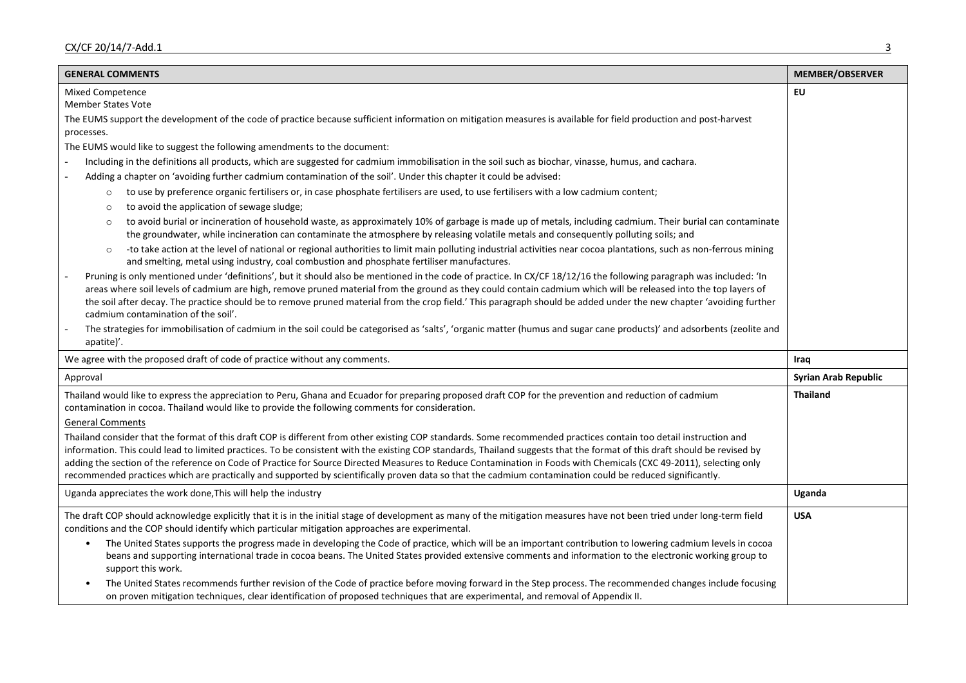| <b>GENERAL COMMENTS</b>                                                                                                                                                                                                                                                                                                                                                                                                                                                                                                                              | <b>MEMBER/OBSERVER</b>      |
|------------------------------------------------------------------------------------------------------------------------------------------------------------------------------------------------------------------------------------------------------------------------------------------------------------------------------------------------------------------------------------------------------------------------------------------------------------------------------------------------------------------------------------------------------|-----------------------------|
| Mixed Competence                                                                                                                                                                                                                                                                                                                                                                                                                                                                                                                                     | EU                          |
| <b>Member States Vote</b>                                                                                                                                                                                                                                                                                                                                                                                                                                                                                                                            |                             |
| The EUMS support the development of the code of practice because sufficient information on mitigation measures is available for field production and post-harvest<br>processes.                                                                                                                                                                                                                                                                                                                                                                      |                             |
| The EUMS would like to suggest the following amendments to the document:                                                                                                                                                                                                                                                                                                                                                                                                                                                                             |                             |
| Including in the definitions all products, which are suggested for cadmium immobilisation in the soil such as biochar, vinasse, humus, and cachara.                                                                                                                                                                                                                                                                                                                                                                                                  |                             |
| Adding a chapter on 'avoiding further cadmium contamination of the soil'. Under this chapter it could be advised:                                                                                                                                                                                                                                                                                                                                                                                                                                    |                             |
| to use by preference organic fertilisers or, in case phosphate fertilisers are used, to use fertilisers with a low cadmium content;<br>$\circ$                                                                                                                                                                                                                                                                                                                                                                                                       |                             |
| to avoid the application of sewage sludge;<br>$\circ$                                                                                                                                                                                                                                                                                                                                                                                                                                                                                                |                             |
| to avoid burial or incineration of household waste, as approximately 10% of garbage is made up of metals, including cadmium. Their burial can contaminate<br>the groundwater, while incineration can contaminate the atmosphere by releasing volatile metals and consequently polluting soils; and                                                                                                                                                                                                                                                   |                             |
| -to take action at the level of national or regional authorities to limit main polluting industrial activities near cocoa plantations, such as non-ferrous mining<br>$\circ$<br>and smelting, metal using industry, coal combustion and phosphate fertiliser manufactures.                                                                                                                                                                                                                                                                           |                             |
| Pruning is only mentioned under 'definitions', but it should also be mentioned in the code of practice. In CX/CF 18/12/16 the following paragraph was included: 'In<br>areas where soil levels of cadmium are high, remove pruned material from the ground as they could contain cadmium which will be released into the top layers of<br>the soil after decay. The practice should be to remove pruned material from the crop field.' This paragraph should be added under the new chapter 'avoiding further<br>cadmium contamination of the soil'. |                             |
| The strategies for immobilisation of cadmium in the soil could be categorised as 'salts', 'organic matter (humus and sugar cane products)' and adsorbents (zeolite and<br>apatite)'.                                                                                                                                                                                                                                                                                                                                                                 |                             |
| We agree with the proposed draft of code of practice without any comments.                                                                                                                                                                                                                                                                                                                                                                                                                                                                           | Iraq                        |
| Approval                                                                                                                                                                                                                                                                                                                                                                                                                                                                                                                                             | <b>Syrian Arab Republic</b> |
| Thailand would like to express the appreciation to Peru, Ghana and Ecuador for preparing proposed draft COP for the prevention and reduction of cadmium<br>contamination in cocoa. Thailand would like to provide the following comments for consideration.                                                                                                                                                                                                                                                                                          | <b>Thailand</b>             |
| <b>General Comments</b>                                                                                                                                                                                                                                                                                                                                                                                                                                                                                                                              |                             |
| Thailand consider that the format of this draft COP is different from other existing COP standards. Some recommended practices contain too detail instruction and<br>information. This could lead to limited practices. To be consistent with the existing COP standards, Thailand suggests that the format of this draft should be revised by                                                                                                                                                                                                       |                             |
| adding the section of the reference on Code of Practice for Source Directed Measures to Reduce Contamination in Foods with Chemicals (CXC 49-2011), selecting only<br>recommended practices which are practically and supported by scientifically proven data so that the cadmium contamination could be reduced significantly.                                                                                                                                                                                                                      |                             |
| Uganda appreciates the work done, This will help the industry                                                                                                                                                                                                                                                                                                                                                                                                                                                                                        | Uganda                      |
| The draft COP should acknowledge explicitly that it is in the initial stage of development as many of the mitigation measures have not been tried under long-term field<br>conditions and the COP should identify which particular mitigation approaches are experimental.                                                                                                                                                                                                                                                                           | <b>USA</b>                  |
| The United States supports the progress made in developing the Code of practice, which will be an important contribution to lowering cadmium levels in cocoa<br>$\bullet$<br>beans and supporting international trade in cocoa beans. The United States provided extensive comments and information to the electronic working group to<br>support this work.                                                                                                                                                                                         |                             |
| The United States recommends further revision of the Code of practice before moving forward in the Step process. The recommended changes include focusing<br>$\bullet$<br>on proven mitigation techniques, clear identification of proposed techniques that are experimental, and removal of Appendix II.                                                                                                                                                                                                                                            |                             |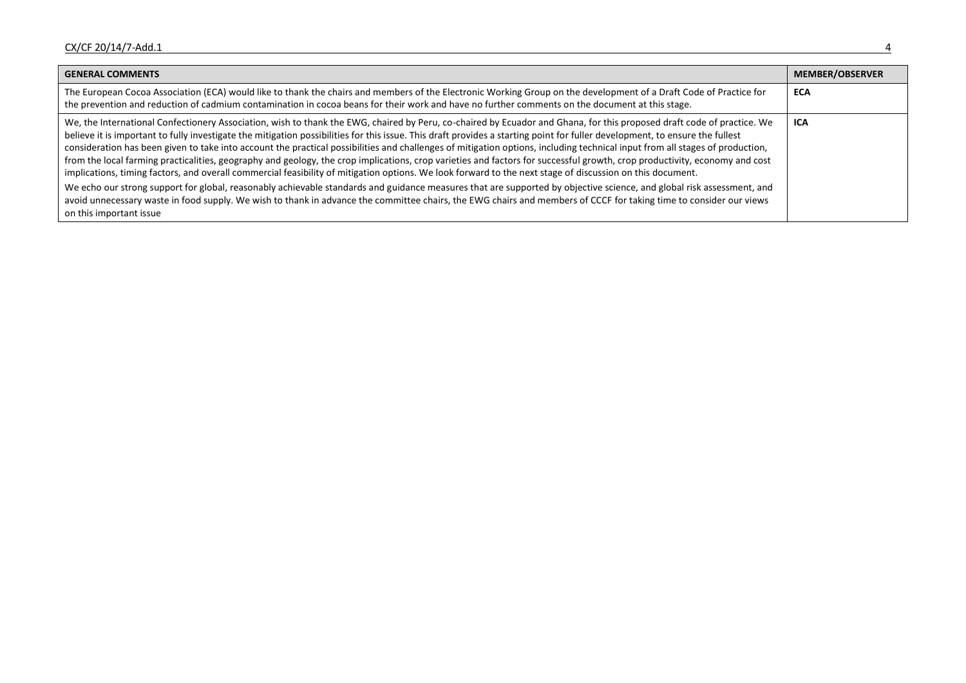| <b>GENERAL COMMENTS</b>                                                                                                                                                                                                                                                                                                                                                                                                                                                                                                                                                                                                                                                                                                                                                                                                                                                                                                                                                                                                                                                                                                                                                                                                                                     | <b>MEMBER/OBSERVER</b> |
|-------------------------------------------------------------------------------------------------------------------------------------------------------------------------------------------------------------------------------------------------------------------------------------------------------------------------------------------------------------------------------------------------------------------------------------------------------------------------------------------------------------------------------------------------------------------------------------------------------------------------------------------------------------------------------------------------------------------------------------------------------------------------------------------------------------------------------------------------------------------------------------------------------------------------------------------------------------------------------------------------------------------------------------------------------------------------------------------------------------------------------------------------------------------------------------------------------------------------------------------------------------|------------------------|
| The European Cocoa Association (ECA) would like to thank the chairs and members of the Electronic Working Group on the development of a Draft Code of Practice for<br>the prevention and reduction of cadmium contamination in cocoa beans for their work and have no further comments on the document at this stage.                                                                                                                                                                                                                                                                                                                                                                                                                                                                                                                                                                                                                                                                                                                                                                                                                                                                                                                                       | <b>ECA</b>             |
| We, the International Confectionery Association, wish to thank the EWG, chaired by Peru, co-chaired by Ecuador and Ghana, for this proposed draft code of practice. We<br>believe it is important to fully investigate the mitigation possibilities for this issue. This draft provides a starting point for fuller development, to ensure the fullest<br>consideration has been given to take into account the practical possibilities and challenges of mitigation options, including technical input from all stages of production,<br>from the local farming practicalities, geography and geology, the crop implications, crop varieties and factors for successful growth, crop productivity, economy and cost<br>implications, timing factors, and overall commercial feasibility of mitigation options. We look forward to the next stage of discussion on this document.<br>We echo our strong support for global, reasonably achievable standards and guidance measures that are supported by objective science, and global risk assessment, and<br>avoid unnecessary waste in food supply. We wish to thank in advance the committee chairs, the EWG chairs and members of CCCF for taking time to consider our views<br>on this important issue | <b>ICA</b>             |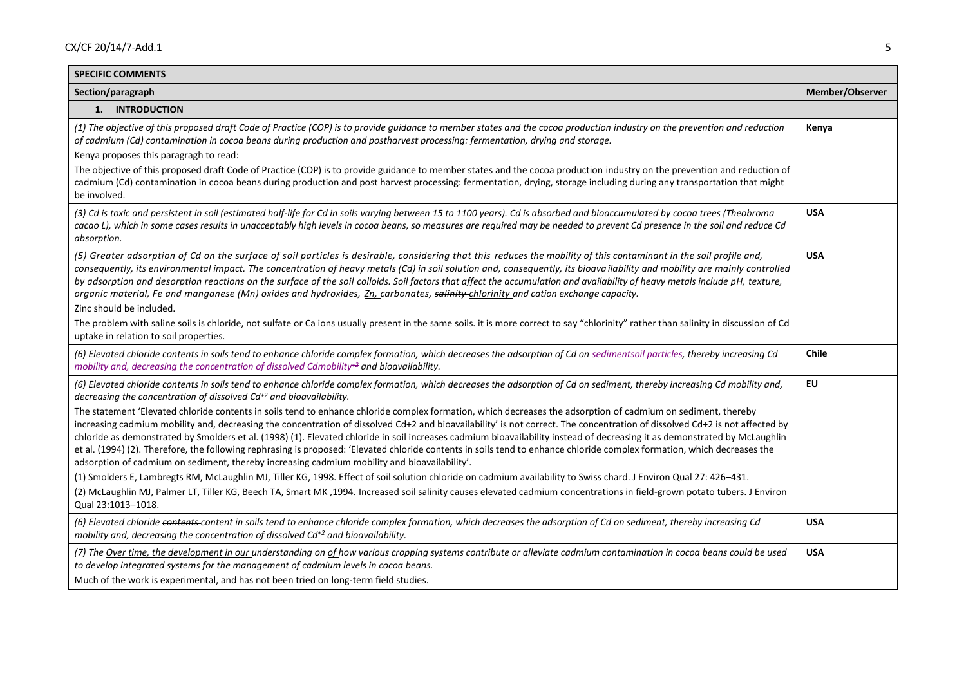| <b>SPECIFIC COMMENTS</b>                                                                                                                                                                                                                                                                                                                                                                                                                                                                                                                                                                                                                                                                                                                                                                               |                 |
|--------------------------------------------------------------------------------------------------------------------------------------------------------------------------------------------------------------------------------------------------------------------------------------------------------------------------------------------------------------------------------------------------------------------------------------------------------------------------------------------------------------------------------------------------------------------------------------------------------------------------------------------------------------------------------------------------------------------------------------------------------------------------------------------------------|-----------------|
| Section/paragraph                                                                                                                                                                                                                                                                                                                                                                                                                                                                                                                                                                                                                                                                                                                                                                                      | Member/Observer |
| 1. INTRODUCTION                                                                                                                                                                                                                                                                                                                                                                                                                                                                                                                                                                                                                                                                                                                                                                                        |                 |
| (1) The objective of this proposed draft Code of Practice (COP) is to provide guidance to member states and the cocoa production industry on the prevention and reduction<br>of cadmium (Cd) contamination in cocoa beans during production and postharvest processing: fermentation, drying and storage.<br>Kenya proposes this paragragh to read:                                                                                                                                                                                                                                                                                                                                                                                                                                                    | Kenya           |
| The objective of this proposed draft Code of Practice (COP) is to provide guidance to member states and the cocoa production industry on the prevention and reduction of<br>cadmium (Cd) contamination in cocoa beans during production and post harvest processing: fermentation, drying, storage including during any transportation that might<br>be involved.                                                                                                                                                                                                                                                                                                                                                                                                                                      |                 |
| (3) Cd is toxic and persistent in soil (estimated half-life for Cd in soils varying between 15 to 1100 years). Cd is absorbed and bioaccumulated by cocoa trees (Theobroma<br>cacao L), which in some cases results in unacceptably high levels in cocoa beans, so measures are required may be needed to prevent Cd presence in the soil and reduce Cd<br>absorption.                                                                                                                                                                                                                                                                                                                                                                                                                                 | <b>USA</b>      |
| (5) Greater adsorption of Cd on the surface of soil particles is desirable, considering that this reduces the mobility of this contaminant in the soil profile and,<br>consequently, its environmental impact. The concentration of heavy metals (Cd) in soil solution and, consequently, its bioavailability and mobility are mainly controlled<br>by adsorption and desorption reactions on the surface of the soil colloids. Soil factors that affect the accumulation and availability of heavy metals include pH, texture,<br>organic material, Fe and manganese (Mn) oxides and hydroxides, Zn, carbonates, salinity-chlorinity and cation exchange capacity.<br>Zinc should be included.                                                                                                        | <b>USA</b>      |
| The problem with saline soils is chloride, not sulfate or Ca ions usually present in the same soils. it is more correct to say "chlorinity" rather than salinity in discussion of Cd<br>uptake in relation to soil properties.                                                                                                                                                                                                                                                                                                                                                                                                                                                                                                                                                                         |                 |
| (6) Elevated chloride contents in soils tend to enhance chloride complex formation, which decreases the adsorption of Cd on sedimentsoil particles, thereby increasing Cd<br>mobility and, decreasing the concentration of dissolved Cdmobility <sup>+2</sup> and bioavailability.                                                                                                                                                                                                                                                                                                                                                                                                                                                                                                                     | <b>Chile</b>    |
| (6) Elevated chloride contents in soils tend to enhance chloride complex formation, which decreases the adsorption of Cd on sediment, thereby increasing Cd mobility and,<br>decreasing the concentration of dissolved $Cd^{+2}$ and bioavailability.                                                                                                                                                                                                                                                                                                                                                                                                                                                                                                                                                  | EU              |
| The statement 'Elevated chloride contents in soils tend to enhance chloride complex formation, which decreases the adsorption of cadmium on sediment, thereby<br>increasing cadmium mobility and, decreasing the concentration of dissolved Cd+2 and bioavailability' is not correct. The concentration of dissolved Cd+2 is not affected by<br>chloride as demonstrated by Smolders et al. (1998) (1). Elevated chloride in soil increases cadmium bioavailability instead of decreasing it as demonstrated by McLaughlin<br>et al. (1994) (2). Therefore, the following rephrasing is proposed: 'Elevated chloride contents in soils tend to enhance chloride complex formation, which decreases the<br>adsorption of cadmium on sediment, thereby increasing cadmium mobility and bioavailability'. |                 |
| (1) Smolders E, Lambregts RM, McLaughlin MJ, Tiller KG, 1998. Effect of soil solution chloride on cadmium availability to Swiss chard. J Environ Qual 27: 426-431.                                                                                                                                                                                                                                                                                                                                                                                                                                                                                                                                                                                                                                     |                 |
| (2) McLaughlin MJ, Palmer LT, Tiller KG, Beech TA, Smart MK , 1994. Increased soil salinity causes elevated cadmium concentrations in field-grown potato tubers. J Environ<br>Qual 23:1013-1018.                                                                                                                                                                                                                                                                                                                                                                                                                                                                                                                                                                                                       |                 |
| (6) Elevated chloride contents-content in soils tend to enhance chloride complex formation, which decreases the adsorption of Cd on sediment, thereby increasing Cd<br>mobility and, decreasing the concentration of dissolved $Cd^{+2}$ and bioavailability.                                                                                                                                                                                                                                                                                                                                                                                                                                                                                                                                          | <b>USA</b>      |
| (7) The Over time, the development in our understanding en of how various cropping systems contribute or alleviate cadmium contamination in cocoa beans could be used<br>to develop integrated systems for the management of cadmium levels in cocoa beans.<br>Much of the work is experimental, and has not been tried on long-term field studies.                                                                                                                                                                                                                                                                                                                                                                                                                                                    | <b>USA</b>      |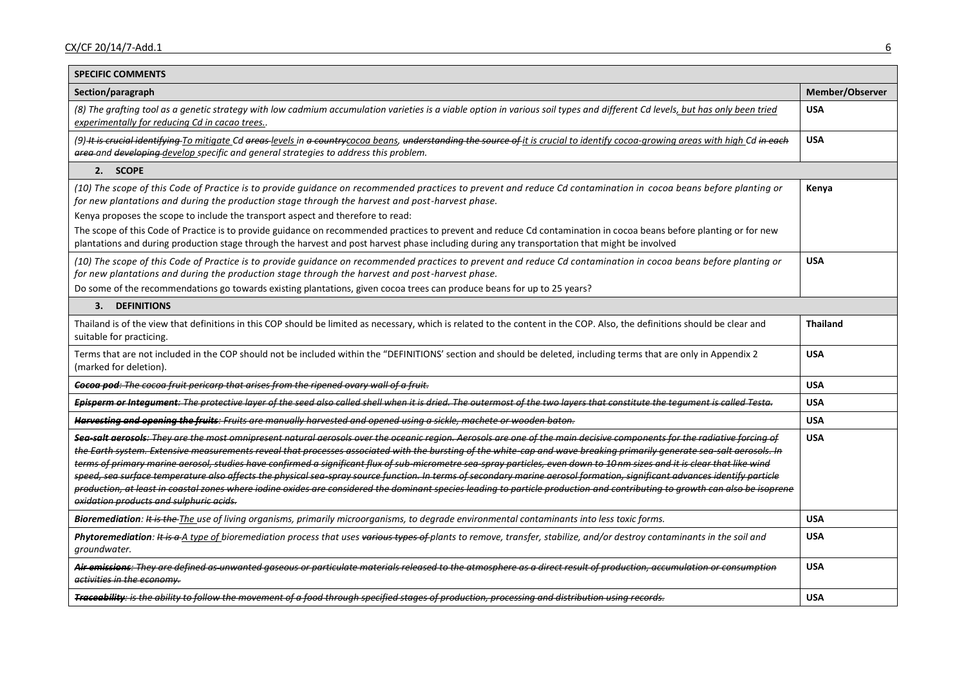| <b>SPECIFIC COMMENTS</b>                                                                                                                                                                                                                                                                                                                                                                                                                                                                                                                                                                                                                                                                                                                                                                                                                                                                                                                 |                 |
|------------------------------------------------------------------------------------------------------------------------------------------------------------------------------------------------------------------------------------------------------------------------------------------------------------------------------------------------------------------------------------------------------------------------------------------------------------------------------------------------------------------------------------------------------------------------------------------------------------------------------------------------------------------------------------------------------------------------------------------------------------------------------------------------------------------------------------------------------------------------------------------------------------------------------------------|-----------------|
| Section/paragraph                                                                                                                                                                                                                                                                                                                                                                                                                                                                                                                                                                                                                                                                                                                                                                                                                                                                                                                        | Member/Observer |
| (8) The grafting tool as a genetic strategy with low cadmium accumulation varieties is a viable option in various soil types and different Cd levels, but has only been tried<br>experimentally for reducing Cd in cacao trees                                                                                                                                                                                                                                                                                                                                                                                                                                                                                                                                                                                                                                                                                                           | <b>USA</b>      |
| (9) It is crucial identifying To mitigate Cd areas levels in a countrycocoa beans, understanding the source of it is crucial to identify cocoa-growing areas with high Cd in each<br>area and developing develop specific and general strategies to address this problem.                                                                                                                                                                                                                                                                                                                                                                                                                                                                                                                                                                                                                                                                | <b>USA</b>      |
| 2. SCOPE                                                                                                                                                                                                                                                                                                                                                                                                                                                                                                                                                                                                                                                                                                                                                                                                                                                                                                                                 |                 |
| (10) The scope of this Code of Practice is to provide guidance on recommended practices to prevent and reduce Cd contamination in cocoa beans before planting or<br>for new plantations and during the production stage through the harvest and post-harvest phase.                                                                                                                                                                                                                                                                                                                                                                                                                                                                                                                                                                                                                                                                      | Kenya           |
| Kenya proposes the scope to include the transport aspect and therefore to read:                                                                                                                                                                                                                                                                                                                                                                                                                                                                                                                                                                                                                                                                                                                                                                                                                                                          |                 |
| The scope of this Code of Practice is to provide guidance on recommended practices to prevent and reduce Cd contamination in cocoa beans before planting or for new<br>plantations and during production stage through the harvest and post harvest phase including during any transportation that might be involved                                                                                                                                                                                                                                                                                                                                                                                                                                                                                                                                                                                                                     |                 |
| (10) The scope of this Code of Practice is to provide guidance on recommended practices to prevent and reduce Cd contamination in cocoa beans before planting or<br>for new plantations and during the production stage through the harvest and post-harvest phase.                                                                                                                                                                                                                                                                                                                                                                                                                                                                                                                                                                                                                                                                      | <b>USA</b>      |
| Do some of the recommendations go towards existing plantations, given cocoa trees can produce beans for up to 25 years?                                                                                                                                                                                                                                                                                                                                                                                                                                                                                                                                                                                                                                                                                                                                                                                                                  |                 |
| <b>DEFINITIONS</b><br>3.                                                                                                                                                                                                                                                                                                                                                                                                                                                                                                                                                                                                                                                                                                                                                                                                                                                                                                                 |                 |
| Thailand is of the view that definitions in this COP should be limited as necessary, which is related to the content in the COP. Also, the definitions should be clear and<br>suitable for practicing.                                                                                                                                                                                                                                                                                                                                                                                                                                                                                                                                                                                                                                                                                                                                   | <b>Thailand</b> |
| Terms that are not included in the COP should not be included within the "DEFINITIONS' section and should be deleted, including terms that are only in Appendix 2<br>(marked for deletion).                                                                                                                                                                                                                                                                                                                                                                                                                                                                                                                                                                                                                                                                                                                                              | <b>USA</b>      |
| Cocoa pod: The cocoa fruit pericarp that arises from the ripened ovary wall of a fruit.                                                                                                                                                                                                                                                                                                                                                                                                                                                                                                                                                                                                                                                                                                                                                                                                                                                  | <b>USA</b>      |
| Episperm or Integument: The protective layer of the seed also called shell when it is dried. The outermost of the two layers that constitute the tequment is called Testa.                                                                                                                                                                                                                                                                                                                                                                                                                                                                                                                                                                                                                                                                                                                                                               | <b>USA</b>      |
| Harvesting and opening the fruits: Fruits are manually harvested and opened using a sickle, machete or wooden baton.                                                                                                                                                                                                                                                                                                                                                                                                                                                                                                                                                                                                                                                                                                                                                                                                                     | <b>USA</b>      |
| Sea-salt aerosols: They are the most omnipresent natural aerosols over the oceanic region. Aerosols are one of the main decisive components for the radiative forcing of<br>the Earth system. Extensive measurements reveal that processes associated with the bursting of the white-cap and wave breaking primarily generate sea-salt aerosols. In<br>terms of primary marine aerosol, studies have confirmed a significant flux of sub-micrometre sea spray particles, even down to 10nm sizes and it is clear that like wind<br>speed, sea surface temperature also affects the physical sea spray source function. In terms of secondary marine aerosol formation, significant advances identify particle<br>production, at least in coastal zones where iodine oxides are considered the dominant species leading to particle production and contributing to growth can also be isoprene<br>oxidation products and sulphuric acids. | <b>USA</b>      |
| Bioremediation: It is the The use of living organisms, primarily microorganisms, to degrade environmental contaminants into less toxic forms.                                                                                                                                                                                                                                                                                                                                                                                                                                                                                                                                                                                                                                                                                                                                                                                            | <b>USA</b>      |
| Phytoremediation: It is a A type of bioremediation process that uses various types of plants to remove, transfer, stabilize, and/or destroy contaminants in the soil and<br>groundwater.                                                                                                                                                                                                                                                                                                                                                                                                                                                                                                                                                                                                                                                                                                                                                 | <b>USA</b>      |
| Air emissions: They are defined as unwanted gaseous or particulate materials released to the atmosphere as a direct result of production, accumulation or consumption<br>activities in the economy.                                                                                                                                                                                                                                                                                                                                                                                                                                                                                                                                                                                                                                                                                                                                      | <b>USA</b>      |
| Traceability: is the ability to follow the movement of a food through specified stages of production, processing and distribution using records.                                                                                                                                                                                                                                                                                                                                                                                                                                                                                                                                                                                                                                                                                                                                                                                         | <b>USA</b>      |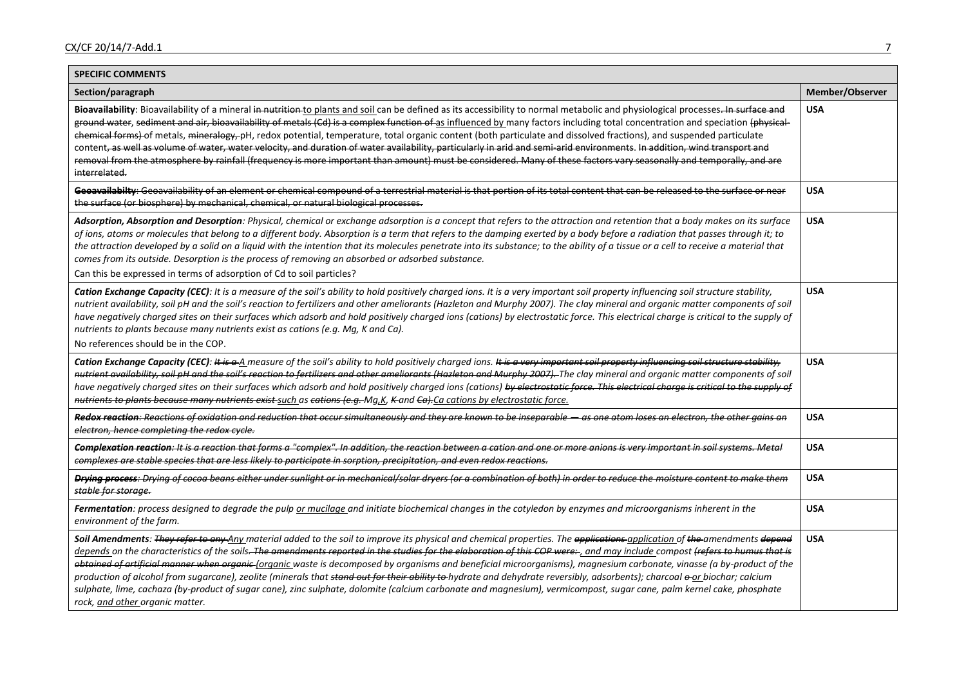| <b>SPECIFIC COMMENTS</b>                                                                                                                                                                                                                                                                                                                                                                                                                                                                                                                                                                                                                                                                                                                                                                                                                                                                                                    |                 |
|-----------------------------------------------------------------------------------------------------------------------------------------------------------------------------------------------------------------------------------------------------------------------------------------------------------------------------------------------------------------------------------------------------------------------------------------------------------------------------------------------------------------------------------------------------------------------------------------------------------------------------------------------------------------------------------------------------------------------------------------------------------------------------------------------------------------------------------------------------------------------------------------------------------------------------|-----------------|
| Section/paragraph                                                                                                                                                                                                                                                                                                                                                                                                                                                                                                                                                                                                                                                                                                                                                                                                                                                                                                           | Member/Observer |
| Bioavailability: Bioavailability of a mineral in nutrition to plants and soil can be defined as its accessibility to normal metabolic and physiological processes. In surface and<br>ground water, sediment and air, bioavailability of metals (Cd) is a complex function of as influenced by many factors including total concentration and speciation (physical-<br>chemical forms) of metals, mineralogy, pH, redox potential, temperature, total organic content (both particulate and dissolved fractions), and suspended particulate<br>content, as well as volume of water, water velocity, and duration of water availability, particularly in arid and semi-arid environments. In addition, wind transport and<br>removal from the atmosphere by rainfall (frequency is more important than amount) must be considered. Many of these factors vary seasonally and temporally, and are<br>interrelated.             | <b>USA</b>      |
| Geoavailabilty: Geoavailability of an element or chemical compound of a terrestrial material is that portion of its total content that can be released to the surface or near<br>the surface (or biosphere) by mechanical, chemical, or natural biological processes.                                                                                                                                                                                                                                                                                                                                                                                                                                                                                                                                                                                                                                                       | <b>USA</b>      |
| Adsorption, Absorption and Desorption: Physical, chemical or exchange adsorption is a concept that refers to the attraction and retention that a body makes on its surface<br>of ions, atoms or molecules that belong to a different body. Absorption is a term that refers to the damping exerted by a body before a radiation that passes through it; to<br>the attraction developed by a solid on a liquid with the intention that its molecules penetrate into its substance; to the ability of a tissue or a cell to receive a material that<br>comes from its outside. Desorption is the process of removing an absorbed or adsorbed substance.<br>Can this be expressed in terms of adsorption of Cd to soil particles?                                                                                                                                                                                              | <b>USA</b>      |
| Cation Exchange Capacity (CEC): It is a measure of the soil's ability to hold positively charged ions. It is a very important soil property influencing soil structure stability,<br>nutrient availability, soil pH and the soil's reaction to fertilizers and other ameliorants (Hazleton and Murphy 2007). The clay mineral and organic matter components of soil<br>have negatively charged sites on their surfaces which adsorb and hold positively charged ions (cations) by electrostatic force. This electrical charge is critical to the supply of<br>nutrients to plants because many nutrients exist as cations (e.g. Mg, K and Ca).<br>No references should be in the COP.                                                                                                                                                                                                                                       | <b>USA</b>      |
| Cation Exchange Capacity (CEC): It is a A measure of the soil's ability to hold positively charged ions. It is a very important soil property influencing soil structure stability,<br>nutrient availability, soil pH and the soil's reaction to fertilizers and other ameliorants (Hazleton and Murphy 2007). The clay mineral and organic matter components of soil<br>have negatively charged sites on their surfaces which adsorb and hold positively charged ions (cations) by electrostatic force. This electrical charge is critical to the supply of<br>nutrients to plants because many nutrients exist-such as cations (e.g.-Mg,K, K-and Ca).Ca cations by electrostatic force.                                                                                                                                                                                                                                   | <b>USA</b>      |
| Redox reaction: Reactions of oxidation and reduction that occur simultaneously and they are known to be inseparable — as one atom loses an electron, the other gains an<br>electron, hence completing the redox cycle.                                                                                                                                                                                                                                                                                                                                                                                                                                                                                                                                                                                                                                                                                                      | <b>USA</b>      |
| Complexation reaction: It is a reaction that forms a "complex". In addition, the reaction between a cation and one or more anions is very important in soil systems. Metal<br>complexes are stable species that are less likely to participate in sorption, precipitation, and even redox reactions.                                                                                                                                                                                                                                                                                                                                                                                                                                                                                                                                                                                                                        | <b>USA</b>      |
| Drying process: Drying of cocoa beans either under sunlight or in mechanical/solar dryers (or a combination of both) in order to reduce the moisture content to make them<br>stable for storage.                                                                                                                                                                                                                                                                                                                                                                                                                                                                                                                                                                                                                                                                                                                            | <b>USA</b>      |
| Fermentation: process designed to degrade the pulp or mucilage and initiate biochemical changes in the cotyledon by enzymes and microorganisms inherent in the<br>environment of the farm.                                                                                                                                                                                                                                                                                                                                                                                                                                                                                                                                                                                                                                                                                                                                  | <b>USA</b>      |
| Soil Amendments: They refer to any Any material added to the soil to improve its physical and chemical properties. The applications application of the amendments depend<br>depends on the characteristics of the soils. The amendments reported in the studies for the elaboration of this COP were:-, and may include compost (refers to humus that is<br>obtained of artificial manner when organic (organic waste is decomposed by organisms and beneficial microorganisms), magnesium carbonate, vinasse (a by-product of the<br>production of alcohol from sugarcane), zeolite (minerals that stand out for their ability to hydrate and dehydrate reversibly, adsorbents); charcoal o-or biochar; calcium<br>sulphate, lime, cachaza (by-product of sugar cane), zinc sulphate, dolomite (calcium carbonate and magnesium), vermicompost, sugar cane, palm kernel cake, phosphate<br>rock, and other organic matter. | <b>USA</b>      |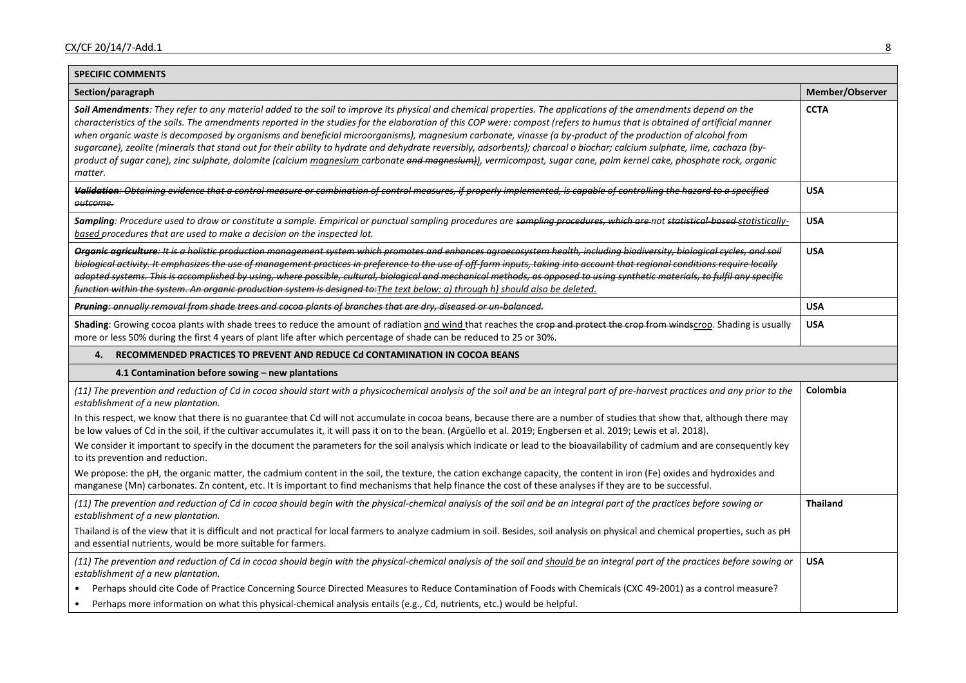| <b>SPECIFIC COMMENTS</b>                                                                                                                                                                                                                                                                                                                                                                                                                                                                                                                                                                                                                                                                                                                                                                                                                                                                                                                                                                                                                                                                                                                                                                                                                                                                                    |                             |
|-------------------------------------------------------------------------------------------------------------------------------------------------------------------------------------------------------------------------------------------------------------------------------------------------------------------------------------------------------------------------------------------------------------------------------------------------------------------------------------------------------------------------------------------------------------------------------------------------------------------------------------------------------------------------------------------------------------------------------------------------------------------------------------------------------------------------------------------------------------------------------------------------------------------------------------------------------------------------------------------------------------------------------------------------------------------------------------------------------------------------------------------------------------------------------------------------------------------------------------------------------------------------------------------------------------|-----------------------------|
| Section/paragraph                                                                                                                                                                                                                                                                                                                                                                                                                                                                                                                                                                                                                                                                                                                                                                                                                                                                                                                                                                                                                                                                                                                                                                                                                                                                                           | Member/Observer             |
| Soil Amendments: They refer to any material added to the soil to improve its physical and chemical properties. The applications of the amendments depend on the<br>characteristics of the soils. The amendments reported in the studies for the elaboration of this COP were: compost (refers to humus that is obtained of artificial manner<br>when organic waste is decomposed by organisms and beneficial microorganisms), magnesium carbonate, vinasse (a by-product of the production of alcohol from<br>sugarcane), zeolite (minerals that stand out for their ability to hydrate and dehydrate reversibly, adsorbents); charcoal o biochar; calcium sulphate, lime, cachaza (by-<br>product of sugar cane), zinc sulphate, dolomite (calcium magnesium carbonate and magnesium)), vermicompost, sugar cane, palm kernel cake, phosphate rock, organic<br>matter.                                                                                                                                                                                                                                                                                                                                                                                                                                     | <b>CCTA</b>                 |
| Validation: Obtaining evidence that a control measure or combination of control measures, if properly implemented, is capable of controlling the hazard to a specified<br>outcome.                                                                                                                                                                                                                                                                                                                                                                                                                                                                                                                                                                                                                                                                                                                                                                                                                                                                                                                                                                                                                                                                                                                          | <b>USA</b>                  |
| Sampling: Procedure used to draw or constitute a sample. Empirical or punctual sampling procedures are sampling procedures, which are not statistical-based-statistically-<br>based procedures that are used to make a decision on the inspected lot.                                                                                                                                                                                                                                                                                                                                                                                                                                                                                                                                                                                                                                                                                                                                                                                                                                                                                                                                                                                                                                                       | <b>USA</b>                  |
| Organic agriculture: It is a holistic production management system which promotes and enhances agroecosystem health, including biodiversity, biological cycles, and soil<br>biological activity. It emphasizes the use of management practices in preference to the use of off farm inputs, taking into account that regional conditions require locally<br>adapted systems. This is accomplished by using, where possible, cultural, biological and mechanical methods, as opposed to using synthetic materials, to fulfil any specific<br>function within the system. An organic production system is designed to: The text below: a) through h) should also be deleted.                                                                                                                                                                                                                                                                                                                                                                                                                                                                                                                                                                                                                                  | <b>USA</b>                  |
| Pruning: annually removal from shade trees and cocoa plants of branches that are dry, diseased or un balanced.                                                                                                                                                                                                                                                                                                                                                                                                                                                                                                                                                                                                                                                                                                                                                                                                                                                                                                                                                                                                                                                                                                                                                                                              | <b>USA</b>                  |
| Shading: Growing cocoa plants with shade trees to reduce the amount of radiation and wind that reaches the erop and protect the crop from windscrop. Shading is usually<br>more or less 50% during the first 4 years of plant life after which percentage of shade can be reduced to 25 or 30%.                                                                                                                                                                                                                                                                                                                                                                                                                                                                                                                                                                                                                                                                                                                                                                                                                                                                                                                                                                                                             | <b>USA</b>                  |
| RECOMMENDED PRACTICES TO PREVENT AND REDUCE Cd CONTAMINATION IN COCOA BEANS<br>4.                                                                                                                                                                                                                                                                                                                                                                                                                                                                                                                                                                                                                                                                                                                                                                                                                                                                                                                                                                                                                                                                                                                                                                                                                           |                             |
| 4.1 Contamination before sowing - new plantations                                                                                                                                                                                                                                                                                                                                                                                                                                                                                                                                                                                                                                                                                                                                                                                                                                                                                                                                                                                                                                                                                                                                                                                                                                                           |                             |
| (11) The prevention and reduction of Cd in cocoa should start with a physicochemical analysis of the soil and be an integral part of pre-harvest practices and any prior to the<br>establishment of a new plantation.<br>In this respect, we know that there is no guarantee that Cd will not accumulate in cocoa beans, because there are a number of studies that show that, although there may<br>be low values of Cd in the soil, if the cultivar accumulates it, it will pass it on to the bean. (Argüello et al. 2019; Engbersen et al. 2019; Lewis et al. 2018).<br>We consider it important to specify in the document the parameters for the soil analysis which indicate or lead to the bioavailability of cadmium and are consequently key<br>to its prevention and reduction.<br>We propose: the pH, the organic matter, the cadmium content in the soil, the texture, the cation exchange capacity, the content in iron (Fe) oxides and hydroxides and<br>manganese (Mn) carbonates. Zn content, etc. It is important to find mechanisms that help finance the cost of these analyses if they are to be successful.<br>(11) The prevention and reduction of Cd in cocoa should begin with the physical-chemical analysis of the soil and be an integral part of the practices before sowing or | Colombia<br><b>Thailand</b> |
| establishment of a new plantation.<br>Thailand is of the view that it is difficult and not practical for local farmers to analyze cadmium in soil. Besides, soil analysis on physical and chemical properties, such as pH<br>and essential nutrients, would be more suitable for farmers.                                                                                                                                                                                                                                                                                                                                                                                                                                                                                                                                                                                                                                                                                                                                                                                                                                                                                                                                                                                                                   |                             |
| (11) The prevention and reduction of Cd in cocoa should begin with the physical-chemical analysis of the soil and should be an integral part of the practices before sowing or<br>establishment of a new plantation.<br>Perhaps should cite Code of Practice Concerning Source Directed Measures to Reduce Contamination of Foods with Chemicals (CXC 49-2001) as a control measure?<br>Perhaps more information on what this physical-chemical analysis entails (e.g., Cd, nutrients, etc.) would be helpful.<br>$\bullet$                                                                                                                                                                                                                                                                                                                                                                                                                                                                                                                                                                                                                                                                                                                                                                                 | <b>USA</b>                  |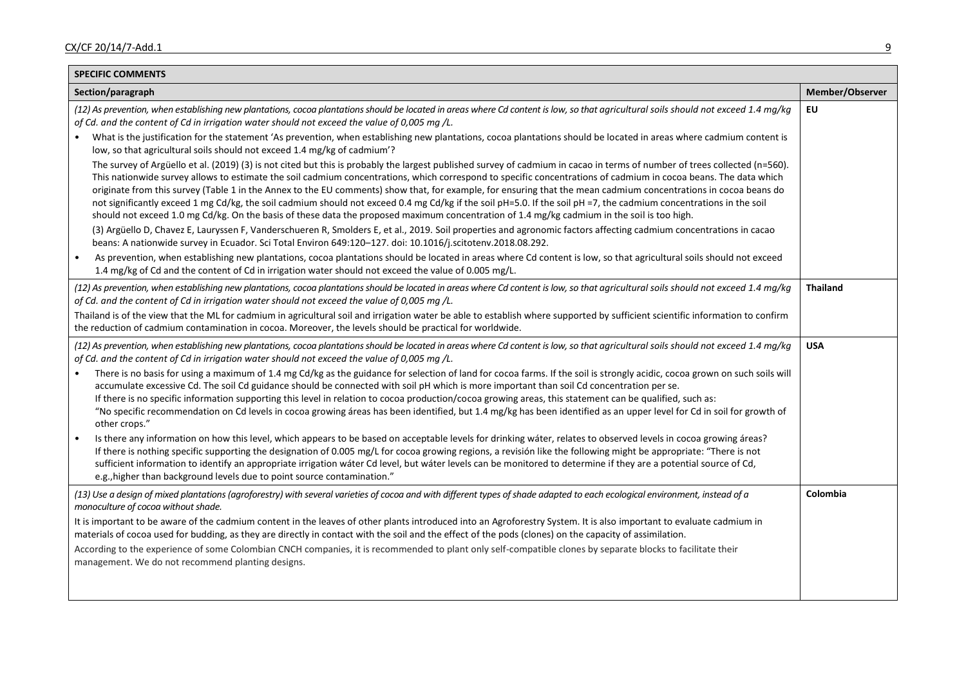| <b>SPECIFIC COMMENTS</b>                                                                                                                                                                                                                                                                                                                                                                                                                                                                                                                                                                                                                                  |                 |
|-----------------------------------------------------------------------------------------------------------------------------------------------------------------------------------------------------------------------------------------------------------------------------------------------------------------------------------------------------------------------------------------------------------------------------------------------------------------------------------------------------------------------------------------------------------------------------------------------------------------------------------------------------------|-----------------|
| Section/paragraph                                                                                                                                                                                                                                                                                                                                                                                                                                                                                                                                                                                                                                         | Member/Observer |
| (12) As prevention, when establishing new plantations, cocoa plantations should be located in areas where Cd content is low, so that agricultural soils should not exceed 1.4 mg/kg<br>of Cd. and the content of Cd in irrigation water should not exceed the value of 0,005 mg /L.<br>What is the justification for the statement 'As prevention, when establishing new plantations, cocoa plantations should be located in areas where cadmium content is                                                                                                                                                                                               | EU              |
| low, so that agricultural soils should not exceed 1.4 mg/kg of cadmium'?<br>The survey of Argüello et al. (2019) (3) is not cited but this is probably the largest published survey of cadmium in cacao in terms of number of trees collected (n=560).                                                                                                                                                                                                                                                                                                                                                                                                    |                 |
| This nationwide survey allows to estimate the soil cadmium concentrations, which correspond to specific concentrations of cadmium in cocoa beans. The data which<br>originate from this survey (Table 1 in the Annex to the EU comments) show that, for example, for ensuring that the mean cadmium concentrations in cocoa beans do<br>not significantly exceed 1 mg Cd/kg, the soil cadmium should not exceed 0.4 mg Cd/kg if the soil pH=5.0. If the soil pH =7, the cadmium concentrations in the soil<br>should not exceed 1.0 mg Cd/kg. On the basis of these data the proposed maximum concentration of 1.4 mg/kg cadmium in the soil is too high. |                 |
| (3) Argüello D, Chavez E, Lauryssen F, Vanderschueren R, Smolders E, et al., 2019. Soil properties and agronomic factors affecting cadmium concentrations in cacao<br>beans: A nationwide survey in Ecuador. Sci Total Environ 649:120-127. doi: 10.1016/j.scitotenv.2018.08.292.                                                                                                                                                                                                                                                                                                                                                                         |                 |
| As prevention, when establishing new plantations, cocoa plantations should be located in areas where Cd content is low, so that agricultural soils should not exceed<br>1.4 mg/kg of Cd and the content of Cd in irrigation water should not exceed the value of 0.005 mg/L.                                                                                                                                                                                                                                                                                                                                                                              |                 |
| (12) As prevention, when establishing new plantations, cocoa plantations should be located in areas where Cd content is low, so that agricultural soils should not exceed 1.4 mg/kg<br>of Cd. and the content of Cd in irrigation water should not exceed the value of 0,005 mg /L.                                                                                                                                                                                                                                                                                                                                                                       | <b>Thailand</b> |
| Thailand is of the view that the ML for cadmium in agricultural soil and irrigation water be able to establish where supported by sufficient scientific information to confirm<br>the reduction of cadmium contamination in cocoa. Moreover, the levels should be practical for worldwide.                                                                                                                                                                                                                                                                                                                                                                |                 |
| (12) As prevention, when establishing new plantations, cocoa plantations should be located in areas where Cd content is low, so that agricultural soils should not exceed 1.4 mg/kg<br>of Cd. and the content of Cd in irrigation water should not exceed the value of 0,005 mg/L.                                                                                                                                                                                                                                                                                                                                                                        | <b>USA</b>      |
| There is no basis for using a maximum of 1.4 mg Cd/kg as the guidance for selection of land for cocoa farms. If the soil is strongly acidic, cocoa grown on such soils will<br>accumulate excessive Cd. The soil Cd guidance should be connected with soil pH which is more important than soil Cd concentration per se.                                                                                                                                                                                                                                                                                                                                  |                 |
| If there is no specific information supporting this level in relation to cocoa production/cocoa growing areas, this statement can be qualified, such as:<br>"No specific recommendation on Cd levels in cocoa growing áreas has been identified, but 1.4 mg/kg has been identified as an upper level for Cd in soil for growth of<br>other crops."                                                                                                                                                                                                                                                                                                        |                 |
| Is there any information on how this level, which appears to be based on acceptable levels for drinking water, relates to observed levels in cocoa growing areas?<br>If there is nothing specific supporting the designation of 0.005 mg/L for cocoa growing regions, a revisión like the following might be appropriate: "There is not<br>sufficient information to identify an appropriate irrigation wáter Cd level, but wáter levels can be monitored to determine if they are a potential source of Cd,<br>e.g., higher than background levels due to point source contamination."                                                                   |                 |
| (13) Use a design of mixed plantations (agroforestry) with several varieties of cocoa and with different types of shade adapted to each ecological environment, instead of a<br>monoculture of cocoa without shade.                                                                                                                                                                                                                                                                                                                                                                                                                                       | Colombia        |
| It is important to be aware of the cadmium content in the leaves of other plants introduced into an Agroforestry System. It is also important to evaluate cadmium in<br>materials of cocoa used for budding, as they are directly in contact with the soil and the effect of the pods (clones) on the capacity of assimilation.                                                                                                                                                                                                                                                                                                                           |                 |
| According to the experience of some Colombian CNCH companies, it is recommended to plant only self-compatible clones by separate blocks to facilitate their<br>management. We do not recommend planting designs.                                                                                                                                                                                                                                                                                                                                                                                                                                          |                 |
|                                                                                                                                                                                                                                                                                                                                                                                                                                                                                                                                                                                                                                                           |                 |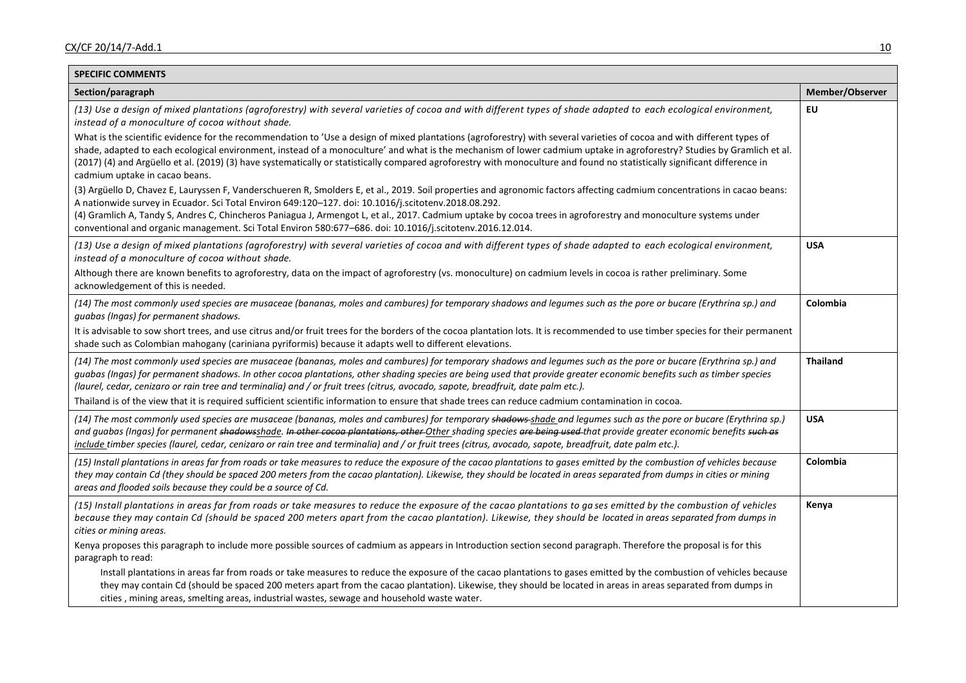| <b>SPECIFIC COMMENTS</b>                                                                                                                                                                                                                                                                                                                                                                                                                                                                                                                                          |                 |
|-------------------------------------------------------------------------------------------------------------------------------------------------------------------------------------------------------------------------------------------------------------------------------------------------------------------------------------------------------------------------------------------------------------------------------------------------------------------------------------------------------------------------------------------------------------------|-----------------|
| Section/paragraph                                                                                                                                                                                                                                                                                                                                                                                                                                                                                                                                                 | Member/Observer |
| (13) Use a design of mixed plantations (agroforestry) with several varieties of cocoa and with different types of shade adapted to each ecological environment,<br>instead of a monoculture of cocoa without shade.                                                                                                                                                                                                                                                                                                                                               | EU              |
| What is the scientific evidence for the recommendation to 'Use a design of mixed plantations (agroforestry) with several varieties of cocoa and with different types of<br>shade, adapted to each ecological environment, instead of a monoculture' and what is the mechanism of lower cadmium uptake in agroforestry? Studies by Gramlich et al.<br>(2017) (4) and Argüello et al. (2019) (3) have systematically or statistically compared agroforestry with monoculture and found no statistically significant difference in<br>cadmium uptake in cacao beans. |                 |
| (3) Argüello D, Chavez E, Lauryssen F, Vanderschueren R, Smolders E, et al., 2019. Soil properties and agronomic factors affecting cadmium concentrations in cacao beans:<br>A nationwide survey in Ecuador. Sci Total Environ 649:120-127. doi: 10.1016/j.scitotenv.2018.08.292.<br>(4) Gramlich A, Tandy S, Andres C, Chincheros Paniagua J, Armengot L, et al., 2017. Cadmium uptake by cocoa trees in agroforestry and monoculture systems under<br>conventional and organic management. Sci Total Environ 580:677-686. doi: 10.1016/j.scitotenv.2016.12.014. |                 |
| (13) Use a design of mixed plantations (agroforestry) with several varieties of cocoa and with different types of shade adapted to each ecological environment,<br>instead of a monoculture of cocoa without shade.                                                                                                                                                                                                                                                                                                                                               | <b>USA</b>      |
| Although there are known benefits to agroforestry, data on the impact of agroforestry (vs. monoculture) on cadmium levels in cocoa is rather preliminary. Some<br>acknowledgement of this is needed.                                                                                                                                                                                                                                                                                                                                                              |                 |
| (14) The most commonly used species are musaceae (bananas, moles and cambures) for temporary shadows and legumes such as the pore or bucare (Erythrina sp.) and<br>guabas (Ingas) for permanent shadows.                                                                                                                                                                                                                                                                                                                                                          | Colombia        |
| It is advisable to sow short trees, and use citrus and/or fruit trees for the borders of the cocoa plantation lots. It is recommended to use timber species for their permanent<br>shade such as Colombian mahogany (cariniana pyriformis) because it adapts well to different elevations.                                                                                                                                                                                                                                                                        |                 |
| (14) The most commonly used species are musaceae (bananas, moles and cambures) for temporary shadows and legumes such as the pore or bucare (Erythrina sp.) and<br>guabas (Ingas) for permanent shadows. In other cocoa plantations, other shading species are being used that provide greater economic benefits such as timber species<br>(laurel, cedar, cenizaro or rain tree and terminalia) and / or fruit trees (citrus, avocado, sapote, breadfruit, date palm etc.).                                                                                      | <b>Thailand</b> |
| Thailand is of the view that it is required sufficient scientific information to ensure that shade trees can reduce cadmium contamination in cocoa.                                                                                                                                                                                                                                                                                                                                                                                                               |                 |
| (14) The most commonly used species are musaceae (bananas, moles and cambures) for temporary shadows-shade and legumes such as the pore or bucare (Erythrina sp.)<br>and guabas (Ingas) for permanent shadowsshade. In other cocoa plantations, other Other shading species are being used that provide greater economic benefits such as<br>include timber species (laurel, cedar, cenizaro or rain tree and terminalia) and / or fruit trees (citrus, avocado, sapote, breadfruit, date palm etc.).                                                             | <b>USA</b>      |
| (15) Install plantations in areas far from roads or take measures to reduce the exposure of the cacao plantations to gases emitted by the combustion of vehicles because<br>they may contain Cd (they should be spaced 200 meters from the cacao plantation). Likewise, they should be located in areas separated from dumps in cities or mining<br>areas and flooded soils because they could be a source of Cd.                                                                                                                                                 | Colombia        |
| (15) Install plantations in areas far from roads or take measures to reduce the exposure of the cacao plantations to gases emitted by the combustion of vehicles<br>because they may contain Cd (should be spaced 200 meters apart from the cacao plantation). Likewise, they should be located in areas separated from dumps in<br>cities or mining areas.                                                                                                                                                                                                       | Kenya           |
| Kenya proposes this paragraph to include more possible sources of cadmium as appears in Introduction section second paragraph. Therefore the proposal is for this<br>paragraph to read:                                                                                                                                                                                                                                                                                                                                                                           |                 |
| Install plantations in areas far from roads or take measures to reduce the exposure of the cacao plantations to gases emitted by the combustion of vehicles because<br>they may contain Cd (should be spaced 200 meters apart from the cacao plantation). Likewise, they should be located in areas in areas separated from dumps in<br>cities, mining areas, smelting areas, industrial wastes, sewage and household waste water.                                                                                                                                |                 |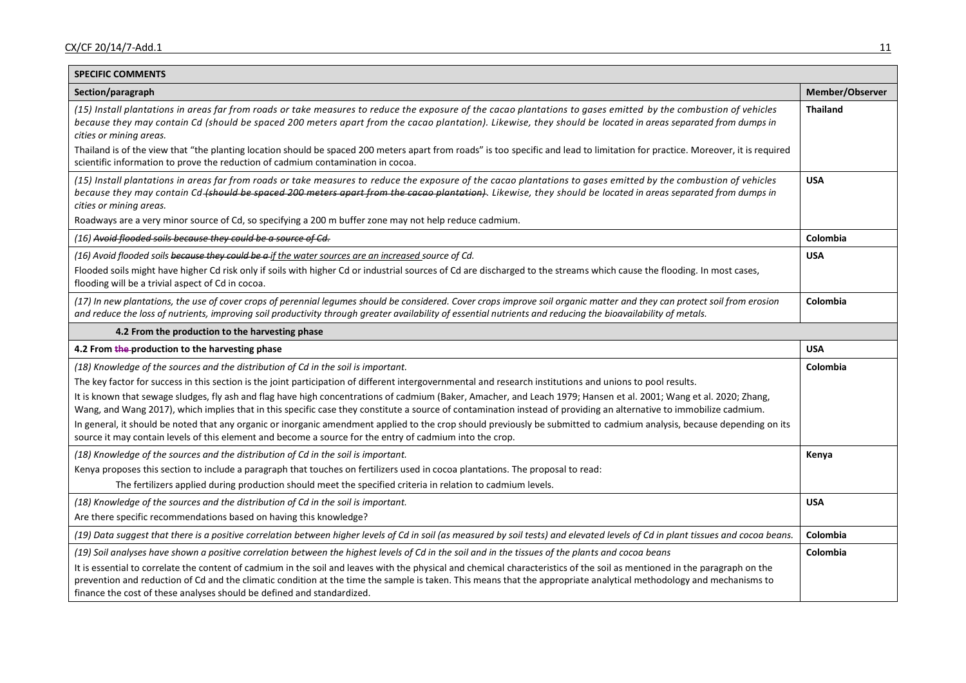| <b>SPECIFIC COMMENTS</b>                                                                                                                                                                                                                                                                                                                                                                                                    |                 |
|-----------------------------------------------------------------------------------------------------------------------------------------------------------------------------------------------------------------------------------------------------------------------------------------------------------------------------------------------------------------------------------------------------------------------------|-----------------|
| Section/paragraph                                                                                                                                                                                                                                                                                                                                                                                                           | Member/Observer |
| (15) Install plantations in areas far from roads or take measures to reduce the exposure of the cacao plantations to gases emitted by the combustion of vehicles<br>because they may contain Cd (should be spaced 200 meters apart from the cacao plantation). Likewise, they should be located in areas separated from dumps in<br>cities or mining areas.                                                                 | <b>Thailand</b> |
| Thailand is of the view that "the planting location should be spaced 200 meters apart from roads" is too specific and lead to limitation for practice. Moreover, it is required<br>scientific information to prove the reduction of cadmium contamination in cocoa.                                                                                                                                                         |                 |
| (15) Install plantations in areas far from roads or take measures to reduce the exposure of the cacao plantations to gases emitted by the combustion of vehicles<br>because they may contain Cd- <del>(should be spaced 200 meters apart from the cacao plantation)</del> . Likewise, they should be located in areas separated from dumps in<br>cities or mining areas.                                                    | <b>USA</b>      |
| Roadways are a very minor source of Cd, so specifying a 200 m buffer zone may not help reduce cadmium.                                                                                                                                                                                                                                                                                                                      |                 |
| (16) Avoid flooded soils because they could be a source of Cd.                                                                                                                                                                                                                                                                                                                                                              | Colombia        |
| (16) Avoid flooded soils because they could be a if the water sources are an increased source of Cd.                                                                                                                                                                                                                                                                                                                        | <b>USA</b>      |
| Flooded soils might have higher Cd risk only if soils with higher Cd or industrial sources of Cd are discharged to the streams which cause the flooding. In most cases,<br>flooding will be a trivial aspect of Cd in cocoa.                                                                                                                                                                                                |                 |
| (17) In new plantations, the use of cover crops of perennial legumes should be considered. Cover crops improve soil organic matter and they can protect soil from erosion<br>and reduce the loss of nutrients, improving soil productivity through greater availability of essential nutrients and reducing the bioavailability of metals.                                                                                  | Colombia        |
| 4.2 From the production to the harvesting phase                                                                                                                                                                                                                                                                                                                                                                             |                 |
| 4.2 From the-production to the harvesting phase                                                                                                                                                                                                                                                                                                                                                                             | <b>USA</b>      |
| (18) Knowledge of the sources and the distribution of Cd in the soil is important.                                                                                                                                                                                                                                                                                                                                          | Colombia        |
| The key factor for success in this section is the joint participation of different intergovernmental and research institutions and unions to pool results.                                                                                                                                                                                                                                                                  |                 |
| It is known that sewage sludges, fly ash and flag have high concentrations of cadmium (Baker, Amacher, and Leach 1979; Hansen et al. 2001; Wang et al. 2020; Zhang,<br>Wang, and Wang 2017), which implies that in this specific case they constitute a source of contamination instead of providing an alternative to immobilize cadmium.                                                                                  |                 |
| In general, it should be noted that any organic or inorganic amendment applied to the crop should previously be submitted to cadmium analysis, because depending on its<br>source it may contain levels of this element and become a source for the entry of cadmium into the crop.                                                                                                                                         |                 |
| (18) Knowledge of the sources and the distribution of Cd in the soil is important.                                                                                                                                                                                                                                                                                                                                          | Kenya           |
| Kenya proposes this section to include a paragraph that touches on fertilizers used in cocoa plantations. The proposal to read:                                                                                                                                                                                                                                                                                             |                 |
| The fertilizers applied during production should meet the specified criteria in relation to cadmium levels.                                                                                                                                                                                                                                                                                                                 |                 |
| (18) Knowledge of the sources and the distribution of Cd in the soil is important.                                                                                                                                                                                                                                                                                                                                          | <b>USA</b>      |
| Are there specific recommendations based on having this knowledge?                                                                                                                                                                                                                                                                                                                                                          |                 |
| (19) Data suggest that there is a positive correlation between higher levels of Cd in soil (as measured by soil tests) and elevated levels of Cd in plant tissues and cocoa beans.                                                                                                                                                                                                                                          | Colombia        |
| (19) Soil analyses have shown a positive correlation between the highest levels of Cd in the soil and in the tissues of the plants and cocoa beans                                                                                                                                                                                                                                                                          | Colombia        |
| It is essential to correlate the content of cadmium in the soil and leaves with the physical and chemical characteristics of the soil as mentioned in the paragraph on the<br>prevention and reduction of Cd and the climatic condition at the time the sample is taken. This means that the appropriate analytical methodology and mechanisms to<br>finance the cost of these analyses should be defined and standardized. |                 |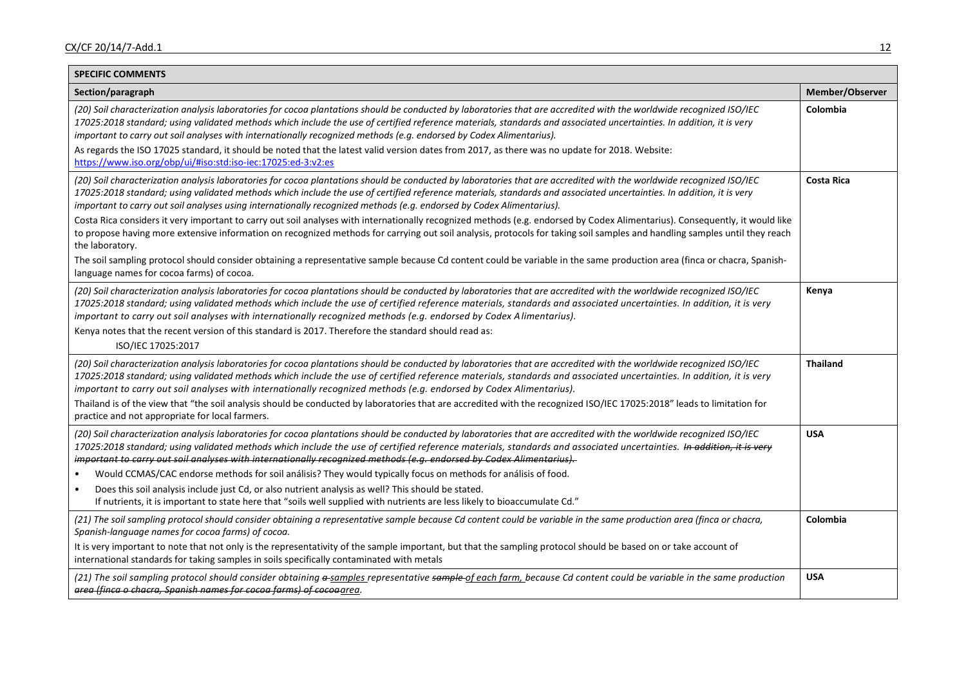| <b>SPECIFIC COMMENTS</b>                                                                                                                                                                                                                                                                                                                                                                                                                                                                                                                                                                                                                                                                                                                                                                                                                                                                                                                                                                                                                                                       |                   |
|--------------------------------------------------------------------------------------------------------------------------------------------------------------------------------------------------------------------------------------------------------------------------------------------------------------------------------------------------------------------------------------------------------------------------------------------------------------------------------------------------------------------------------------------------------------------------------------------------------------------------------------------------------------------------------------------------------------------------------------------------------------------------------------------------------------------------------------------------------------------------------------------------------------------------------------------------------------------------------------------------------------------------------------------------------------------------------|-------------------|
| Section/paragraph                                                                                                                                                                                                                                                                                                                                                                                                                                                                                                                                                                                                                                                                                                                                                                                                                                                                                                                                                                                                                                                              | Member/Observer   |
| (20) Soil characterization analysis laboratories for cocoa plantations should be conducted by laboratories that are accredited with the worldwide recognized ISO/IEC<br>17025:2018 standard; using validated methods which include the use of certified reference materials, standards and associated uncertainties. In addition, it is very<br>important to carry out soil analyses with internationally recognized methods (e.g. endorsed by Codex Alimentarius).<br>As regards the ISO 17025 standard, it should be noted that the latest valid version dates from 2017, as there was no update for 2018. Website:<br>https://www.iso.org/obp/ui/#iso:std:iso-iec:17025:ed-3:v2:es                                                                                                                                                                                                                                                                                                                                                                                          | Colombia          |
| (20) Soil characterization analysis laboratories for cocoa plantations should be conducted by laboratories that are accredited with the worldwide recognized ISO/IEC<br>17025:2018 standard; using validated methods which include the use of certified reference materials, standards and associated uncertainties. In addition, it is very<br>important to carry out soil analyses using internationally recognized methods (e.g. endorsed by Codex Alimentarius).<br>Costa Rica considers it very important to carry out soil analyses with internationally recognized methods (e.g. endorsed by Codex Alimentarius). Consequently, it would like<br>to propose having more extensive information on recognized methods for carrying out soil analysis, protocols for taking soil samples and handling samples until they reach<br>the laboratory.<br>The soil sampling protocol should consider obtaining a representative sample because Cd content could be variable in the same production area (finca or chacra, Spanish-<br>language names for cocoa farms) of cocoa. | <b>Costa Rica</b> |
| (20) Soil characterization analysis laboratories for cocoa plantations should be conducted by laboratories that are accredited with the worldwide recognized ISO/IEC<br>17025:2018 standard; using validated methods which include the use of certified reference materials, standards and associated uncertainties. In addition, it is very<br>important to carry out soil analyses with internationally recognized methods (e.g. endorsed by Codex Alimentarius).<br>Kenya notes that the recent version of this standard is 2017. Therefore the standard should read as:<br>ISO/IEC 17025:2017                                                                                                                                                                                                                                                                                                                                                                                                                                                                              | Kenya             |
| (20) Soil characterization analysis laboratories for cocoa plantations should be conducted by laboratories that are accredited with the worldwide recognized ISO/IEC<br>17025:2018 standard; using validated methods which include the use of certified reference materials, standards and associated uncertainties. In addition, it is very<br>important to carry out soil analyses with internationally recognized methods (e.g. endorsed by Codex Alimentarius).<br>Thailand is of the view that "the soil analysis should be conducted by laboratories that are accredited with the recognized ISO/IEC 17025:2018" leads to limitation for<br>practice and not appropriate for local farmers.                                                                                                                                                                                                                                                                                                                                                                              | <b>Thailand</b>   |
| (20) Soil characterization analysis laboratories for cocoa plantations should be conducted by laboratories that are accredited with the worldwide recognized ISO/IEC<br>17025:2018 standard; using validated methods which include the use of certified reference materials, standards and associated uncertainties. In addition, it is very<br>important to carry out soil analyses with internationally recognized methods (e.g. endorsed by Codex Alimentarius).<br>Would CCMAS/CAC endorse methods for soil análisis? They would typically focus on methods for análisis of food.<br>$\bullet$<br>Does this soil analysis include just Cd, or also nutrient analysis as well? This should be stated.<br>$\bullet$<br>If nutrients, it is important to state here that "soils well supplied with nutrients are less likely to bioaccumulate Cd."                                                                                                                                                                                                                            | <b>USA</b>        |
| (21) The soil sampling protocol should consider obtaining a representative sample because Cd content could be variable in the same production area (finca or chacra,<br>Spanish-language names for cocoa farms) of cocoa.<br>It is very important to note that not only is the representativity of the sample important, but that the sampling protocol should be based on or take account of<br>international standards for taking samples in soils specifically contaminated with metals                                                                                                                                                                                                                                                                                                                                                                                                                                                                                                                                                                                     | Colombia          |
| (21) The soil sampling protocol should consider obtaining a-samples representative sample of each farm, because Cd content could be variable in the same production<br>area (finca o chacra, Spanish names for cocoa farms) of cocoaarea.                                                                                                                                                                                                                                                                                                                                                                                                                                                                                                                                                                                                                                                                                                                                                                                                                                      | <b>USA</b>        |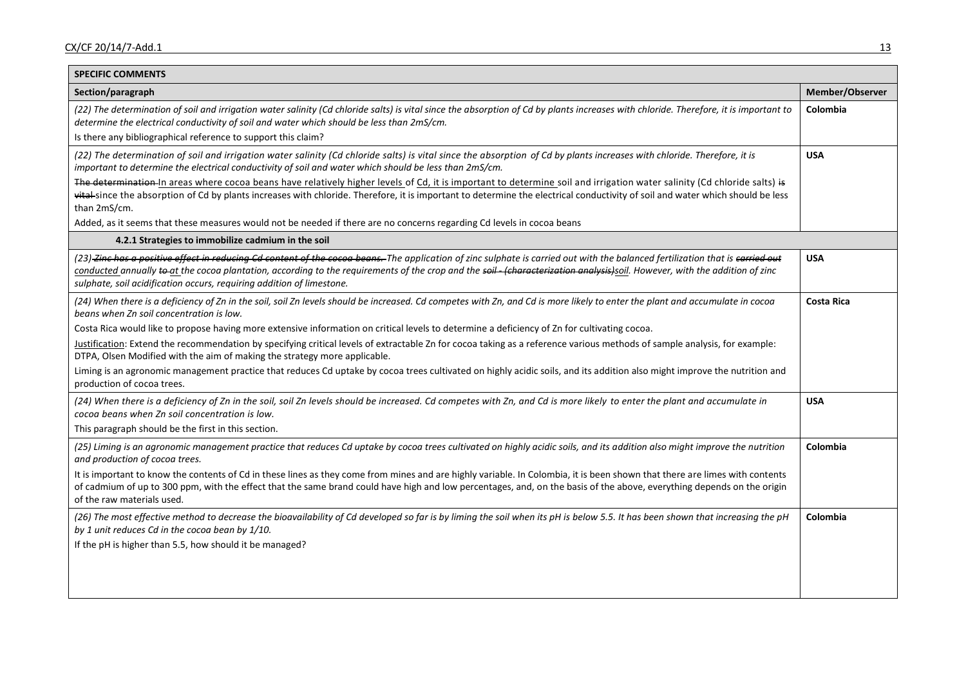| <b>SPECIFIC COMMENTS</b>                                                                                                                                                                                                                                                                                                                                                                                                              |                   |
|---------------------------------------------------------------------------------------------------------------------------------------------------------------------------------------------------------------------------------------------------------------------------------------------------------------------------------------------------------------------------------------------------------------------------------------|-------------------|
| Section/paragraph                                                                                                                                                                                                                                                                                                                                                                                                                     | Member/Observer   |
| (22) The determination of soil and irrigation water salinity (Cd chloride salts) is vital since the absorption of Cd by plants increases with chloride. Therefore, it is important to<br>determine the electrical conductivity of soil and water which should be less than 2mS/cm.                                                                                                                                                    | Colombia          |
| Is there any bibliographical reference to support this claim?                                                                                                                                                                                                                                                                                                                                                                         |                   |
| (22) The determination of soil and irrigation water salinity (Cd chloride salts) is vital since the absorption of Cd by plants increases with chloride. Therefore, it is<br>important to determine the electrical conductivity of soil and water which should be less than 2mS/cm.                                                                                                                                                    | <b>USA</b>        |
| The determination-In areas where cocoa beans have relatively higher levels of Cd, it is important to determine soil and irrigation water salinity (Cd chloride salts) is<br>vital-since the absorption of Cd by plants increases with chloride. Therefore, it is important to determine the electrical conductivity of soil and water which should be less<br>than 2mS/cm.                                                            |                   |
| Added, as it seems that these measures would not be needed if there are no concerns regarding Cd levels in cocoa beans                                                                                                                                                                                                                                                                                                                |                   |
| 4.2.1 Strategies to immobilize cadmium in the soil                                                                                                                                                                                                                                                                                                                                                                                    |                   |
| (23)-Zinc has a positive effect in reducing Cd content of the cocoa beans. The application of zinc sulphate is carried out with the balanced fertilization that is carried out<br>conducted annually to at the cocoa plantation, according to the requirements of the crop and the soil (characterization analysis) soil. However, with the addition of zinc<br>sulphate, soil acidification occurs, requiring addition of limestone. | <b>USA</b>        |
| (24) When there is a deficiency of Zn in the soil, soil Zn levels should be increased. Cd competes with Zn, and Cd is more likely to enter the plant and accumulate in cocoa<br>beans when Zn soil concentration is low.                                                                                                                                                                                                              | <b>Costa Rica</b> |
| Costa Rica would like to propose having more extensive information on critical levels to determine a deficiency of Zn for cultivating cocoa.                                                                                                                                                                                                                                                                                          |                   |
| Justification: Extend the recommendation by specifying critical levels of extractable Zn for cocoa taking as a reference various methods of sample analysis, for example:<br>DTPA, Olsen Modified with the aim of making the strategy more applicable.                                                                                                                                                                                |                   |
| Liming is an agronomic management practice that reduces Cd uptake by cocoa trees cultivated on highly acidic soils, and its addition also might improve the nutrition and<br>production of cocoa trees.                                                                                                                                                                                                                               |                   |
| (24) When there is a deficiency of Zn in the soil, soil Zn levels should be increased. Cd competes with Zn, and Cd is more likely to enter the plant and accumulate in<br>cocoa beans when Zn soil concentration is low.                                                                                                                                                                                                              | <b>USA</b>        |
| This paragraph should be the first in this section.                                                                                                                                                                                                                                                                                                                                                                                   |                   |
| (25) Liming is an agronomic management practice that reduces Cd uptake by cocoa trees cultivated on highly acidic soils, and its addition also might improve the nutrition<br>and production of cocoa trees.                                                                                                                                                                                                                          | Colombia          |
| It is important to know the contents of Cd in these lines as they come from mines and are highly variable. In Colombia, it is been shown that there are limes with contents<br>of cadmium of up to 300 ppm, with the effect that the same brand could have high and low percentages, and, on the basis of the above, everything depends on the origin<br>of the raw materials used.                                                   |                   |
| (26) The most effective method to decrease the bioavailability of Cd developed so far is by liming the soil when its pH is below 5.5. It has been shown that increasing the pH<br>by 1 unit reduces Cd in the cocoa bean by 1/10.                                                                                                                                                                                                     | Colombia          |
| If the pH is higher than 5.5, how should it be managed?                                                                                                                                                                                                                                                                                                                                                                               |                   |
|                                                                                                                                                                                                                                                                                                                                                                                                                                       |                   |
|                                                                                                                                                                                                                                                                                                                                                                                                                                       |                   |
|                                                                                                                                                                                                                                                                                                                                                                                                                                       |                   |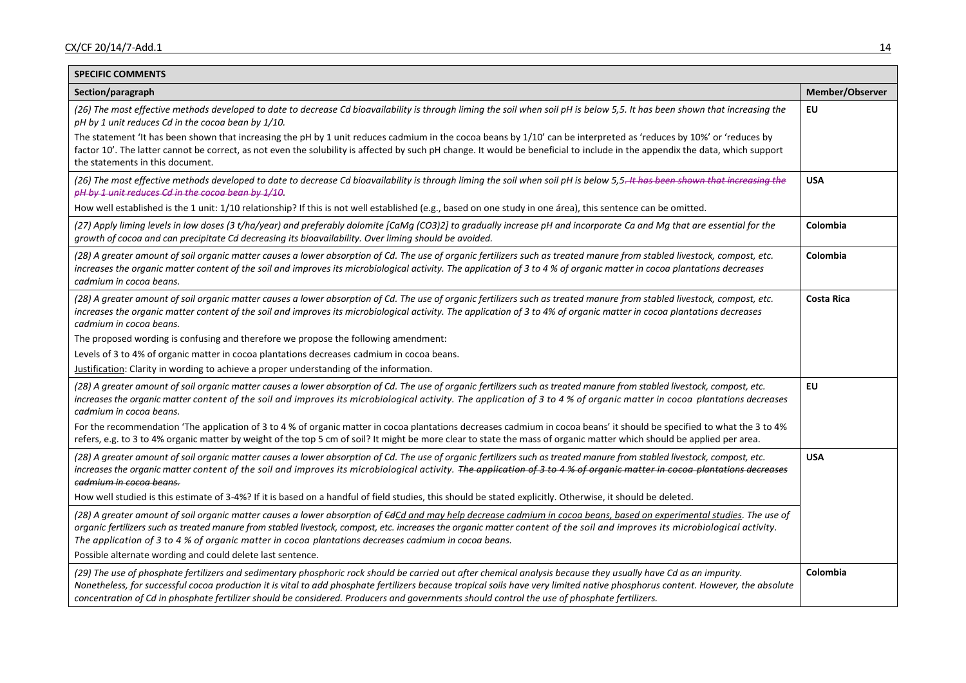| <b>SPECIFIC COMMENTS</b>                                                                                                                                                                                                                                                                                                                                                                                                                                                                            |                   |  |  |  |
|-----------------------------------------------------------------------------------------------------------------------------------------------------------------------------------------------------------------------------------------------------------------------------------------------------------------------------------------------------------------------------------------------------------------------------------------------------------------------------------------------------|-------------------|--|--|--|
| Section/paragraph                                                                                                                                                                                                                                                                                                                                                                                                                                                                                   |                   |  |  |  |
| (26) The most effective methods developed to date to decrease Cd bioavailability is through liming the soil when soil pH is below 5,5. It has been shown that increasing the<br>pH by 1 unit reduces Cd in the cocoa bean by 1/10.                                                                                                                                                                                                                                                                  | EU                |  |  |  |
| The statement 'It has been shown that increasing the pH by 1 unit reduces cadmium in the cocoa beans by 1/10' can be interpreted as 'reduces by 10%' or 'reduces by<br>factor 10'. The latter cannot be correct, as not even the solubility is affected by such pH change. It would be beneficial to include in the appendix the data, which support<br>the statements in this document.                                                                                                            |                   |  |  |  |
| (26) The most effective methods developed to date to decrease Cd bioavailability is through liming the soil when soil pH is below 5,5-It has been shown that increasing the<br>pH by 1 unit reduces Cd in the cocoa bean by 1/10.                                                                                                                                                                                                                                                                   |                   |  |  |  |
| How well established is the 1 unit: 1/10 relationship? If this is not well established (e.g., based on one study in one área), this sentence can be omitted.                                                                                                                                                                                                                                                                                                                                        |                   |  |  |  |
| (27) Apply liming levels in low doses (3 t/ha/year) and preferably dolomite [CaMg (CO3)2] to gradually increase pH and incorporate Ca and Mg that are essential for the<br>growth of cocoa and can precipitate Cd decreasing its bioavailability. Over liming should be avoided.                                                                                                                                                                                                                    | Colombia          |  |  |  |
| (28) A greater amount of soil organic matter causes a lower absorption of Cd. The use of organic fertilizers such as treated manure from stabled livestock, compost, etc.<br>increases the organic matter content of the soil and improves its microbiological activity. The application of 3 to 4 % of organic matter in cocoa plantations decreases<br>cadmium in cocoa beans.                                                                                                                    | Colombia          |  |  |  |
| (28) A greater amount of soil organic matter causes a lower absorption of Cd. The use of organic fertilizers such as treated manure from stabled livestock, compost, etc.<br>increases the organic matter content of the soil and improves its microbiological activity. The application of 3 to 4% of organic matter in cocoa plantations decreases<br>cadmium in cocoa beans.                                                                                                                     | <b>Costa Rica</b> |  |  |  |
| The proposed wording is confusing and therefore we propose the following amendment:                                                                                                                                                                                                                                                                                                                                                                                                                 |                   |  |  |  |
| Levels of 3 to 4% of organic matter in cocoa plantations decreases cadmium in cocoa beans.                                                                                                                                                                                                                                                                                                                                                                                                          |                   |  |  |  |
| Justification: Clarity in wording to achieve a proper understanding of the information.                                                                                                                                                                                                                                                                                                                                                                                                             |                   |  |  |  |
| (28) A greater amount of soil organic matter causes a lower absorption of Cd. The use of organic fertilizers such as treated manure from stabled livestock, compost, etc.<br>increases the organic matter content of the soil and improves its microbiological activity. The application of 3 to 4 % of organic matter in cocoa plantations decreases<br>cadmium in cocoa beans.                                                                                                                    | <b>EU</b>         |  |  |  |
| For the recommendation 'The application of 3 to 4 % of organic matter in cocoa plantations decreases cadmium in cocoa beans' it should be specified to what the 3 to 4%<br>refers, e.g. to 3 to 4% organic matter by weight of the top 5 cm of soil? It might be more clear to state the mass of organic matter which should be applied per area.                                                                                                                                                   |                   |  |  |  |
| (28) A greater amount of soil organic matter causes a lower absorption of Cd. The use of organic fertilizers such as treated manure from stabled livestock, compost, etc.<br>increases the organic matter content of the soil and improves its microbiological activity. The application of 3 to 4 % of organic matter in cocoa-plantations decreases<br><del>cadmium in cocoa beans.</del>                                                                                                         | <b>USA</b>        |  |  |  |
| How well studied is this estimate of 3-4%? If it is based on a handful of field studies, this should be stated explicitly. Otherwise, it should be deleted.                                                                                                                                                                                                                                                                                                                                         |                   |  |  |  |
| (28) A greater amount of soil organic matter causes a lower absorption of GdCd and may help decrease cadmium in cocoa beans, based on experimental studies. The use of<br>organic fertilizers such as treated manure from stabled livestock, compost, etc. increases the organic matter content of the soil and improves its microbiological activity.<br>The application of 3 to 4 % of organic matter in cocoa plantations decreases cadmium in cocoa beans.                                      |                   |  |  |  |
| Possible alternate wording and could delete last sentence.                                                                                                                                                                                                                                                                                                                                                                                                                                          |                   |  |  |  |
| (29) The use of phosphate fertilizers and sedimentary phosphoric rock should be carried out after chemical analysis because they usually have Cd as an impurity.<br>Nonetheless, for successful cocoa production it is vital to add phosphate fertilizers because tropical soils have very limited native phosphorus content. However, the absolute<br>concentration of Cd in phosphate fertilizer should be considered. Producers and governments should control the use of phosphate fertilizers. | Colombia          |  |  |  |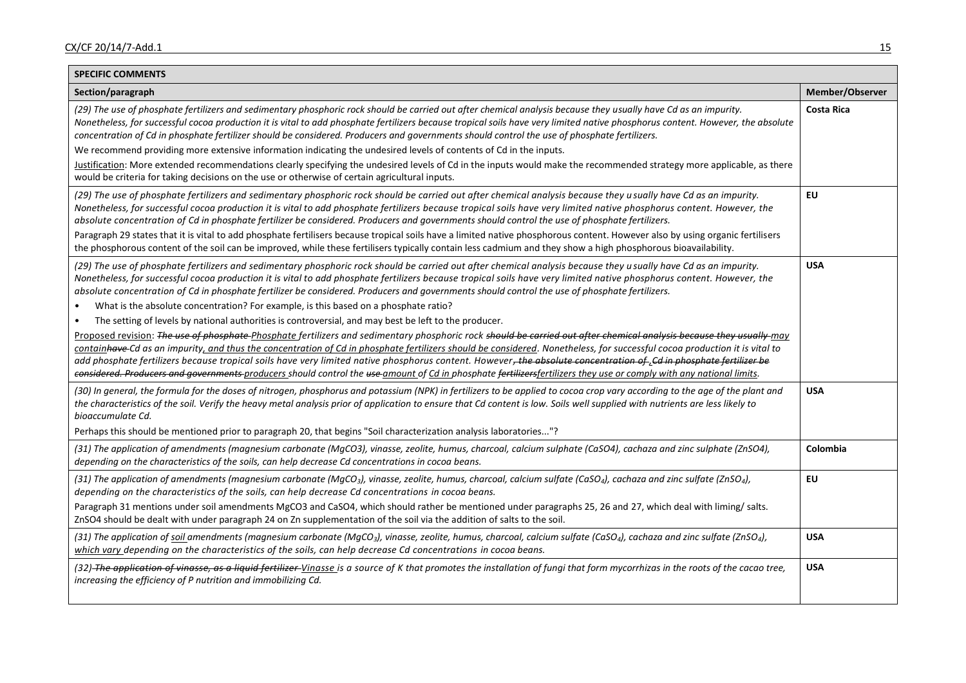| <b>SPECIFIC COMMENTS</b>                                                                                                                                                                                                                                                                                                                                                                                                                                                                                                                                                                                                                                                                                                                                                                                                                                                                                                                                                                                                                                                                                                                                                                                                                                                                                                                                                                                                     |                   |  |  |  |
|------------------------------------------------------------------------------------------------------------------------------------------------------------------------------------------------------------------------------------------------------------------------------------------------------------------------------------------------------------------------------------------------------------------------------------------------------------------------------------------------------------------------------------------------------------------------------------------------------------------------------------------------------------------------------------------------------------------------------------------------------------------------------------------------------------------------------------------------------------------------------------------------------------------------------------------------------------------------------------------------------------------------------------------------------------------------------------------------------------------------------------------------------------------------------------------------------------------------------------------------------------------------------------------------------------------------------------------------------------------------------------------------------------------------------|-------------------|--|--|--|
| Section/paragraph                                                                                                                                                                                                                                                                                                                                                                                                                                                                                                                                                                                                                                                                                                                                                                                                                                                                                                                                                                                                                                                                                                                                                                                                                                                                                                                                                                                                            |                   |  |  |  |
| (29) The use of phosphate fertilizers and sedimentary phosphoric rock should be carried out after chemical analysis because they usually have Cd as an impurity.<br>Nonetheless, for successful cocoa production it is vital to add phosphate fertilizers because tropical soils have very limited native phosphorus content. However, the absolute<br>concentration of Cd in phosphate fertilizer should be considered. Producers and governments should control the use of phosphate fertilizers.<br>We recommend providing more extensive information indicating the undesired levels of contents of Cd in the inputs.<br>Justification: More extended recommendations clearly specifying the undesired levels of Cd in the inputs would make the recommended strategy more applicable, as there<br>would be criteria for taking decisions on the use or otherwise of certain agricultural inputs.                                                                                                                                                                                                                                                                                                                                                                                                                                                                                                                        | <b>Costa Rica</b> |  |  |  |
| (29) The use of phosphate fertilizers and sedimentary phosphoric rock should be carried out after chemical analysis because they u sually have Cd as an impurity.<br>Nonetheless, for successful cocoa production it is vital to add phosphate fertilizers because tropical soils have very limited native phosphorus content. However, the<br>absolute concentration of Cd in phosphate fertilizer be considered. Producers and governments should control the use of phosphate fertilizers.<br>Paragraph 29 states that it is vital to add phosphate fertilisers because tropical soils have a limited native phosphorous content. However also by using organic fertilisers<br>the phosphorous content of the soil can be improved, while these fertilisers typically contain less cadmium and they show a high phosphorous bioavailability.                                                                                                                                                                                                                                                                                                                                                                                                                                                                                                                                                                              | EU                |  |  |  |
| (29) The use of phosphate fertilizers and sedimentary phosphoric rock should be carried out after chemical analysis because they u sually have Cd as an impurity.<br>Nonetheless, for successful cocoa production it is vital to add phosphate fertilizers because tropical soils have very limited native phosphorus content. However, the<br>absolute concentration of Cd in phosphate fertilizer be considered. Producers and governments should control the use of phosphate fertilizers.<br>What is the absolute concentration? For example, is this based on a phosphate ratio?<br>$\bullet$<br>The setting of levels by national authorities is controversial, and may best be left to the producer.<br>$\bullet$<br>Proposed revision: The use of phosphate-Phosphate fertilizers and sedimentary phosphoric rock should be carried out after chemical analysis because they usually-may<br>containhave-Cd as an impurity, and thus the concentration of Cd in phosphate fertilizers should be considered. Nonetheless, for successful cocoa production it is vital to<br>add phosphate fertilizers because tropical soils have very limited native phosphorus content. However, the absolute concentration of Cd in phosphate fertilizer be<br>considered. Producers and governments producers should control the use amount of Cd in phosphate fertilizersfertilizers they use or comply with any national limits. | <b>USA</b>        |  |  |  |
| (30) In general, the formula for the doses of nitrogen, phosphorus and potassium (NPK) in fertilizers to be applied to cocoa crop vary according to the age of the plant and<br>the characteristics of the soil. Verify the heavy metal analysis prior of application to ensure that Cd content is low. Soils well supplied with nutrients are less likely to<br>bioaccumulate Cd.<br>Perhaps this should be mentioned prior to paragraph 20, that begins "Soil characterization analysis laboratories"?                                                                                                                                                                                                                                                                                                                                                                                                                                                                                                                                                                                                                                                                                                                                                                                                                                                                                                                     | <b>USA</b>        |  |  |  |
| (31) The application of amendments (magnesium carbonate (MgCO3), vinasse, zeolite, humus, charcoal, calcium sulphate (CaSO4), cachaza and zinc sulphate (ZnSO4),<br>depending on the characteristics of the soils, can help decrease Cd concentrations in cocoa beans.                                                                                                                                                                                                                                                                                                                                                                                                                                                                                                                                                                                                                                                                                                                                                                                                                                                                                                                                                                                                                                                                                                                                                       | Colombia          |  |  |  |
| (31) The application of amendments (magnesium carbonate (MgCO <sub>3</sub> ), vinasse, zeolite, humus, charcoal, calcium sulfate (CaSO <sub>4</sub> ), cachaza and zinc sulfate (ZnSO <sub>4</sub> ),<br>depending on the characteristics of the soils, can help decrease Cd concentrations in cocoa beans.<br>Paragraph 31 mentions under soil amendments MgCO3 and CaSO4, which should rather be mentioned under paragraphs 25, 26 and 27, which deal with liming/ salts.<br>ZnSO4 should be dealt with under paragraph 24 on Zn supplementation of the soil via the addition of salts to the soil.                                                                                                                                                                                                                                                                                                                                                                                                                                                                                                                                                                                                                                                                                                                                                                                                                        | EU                |  |  |  |
| (31) The application of soil amendments (magnesium carbonate (MgCO <sub>3</sub> ), vinasse, zeolite, humus, charcoal, calcium sulfate (CaSO <sub>4</sub> ), cachaza and zinc sulfate (ZnSO <sub>4</sub> ),<br>which vary depending on the characteristics of the soils, can help decrease Cd concentrations in cocoa beans.                                                                                                                                                                                                                                                                                                                                                                                                                                                                                                                                                                                                                                                                                                                                                                                                                                                                                                                                                                                                                                                                                                  | <b>USA</b>        |  |  |  |
| (32)-The application of vinasse, as a liquid fertilizer-Vinasse is a source of K that promotes the installation of fungi that form mycorrhizas in the roots of the cacao tree,<br>increasing the efficiency of P nutrition and immobilizing Cd.                                                                                                                                                                                                                                                                                                                                                                                                                                                                                                                                                                                                                                                                                                                                                                                                                                                                                                                                                                                                                                                                                                                                                                              | <b>USA</b>        |  |  |  |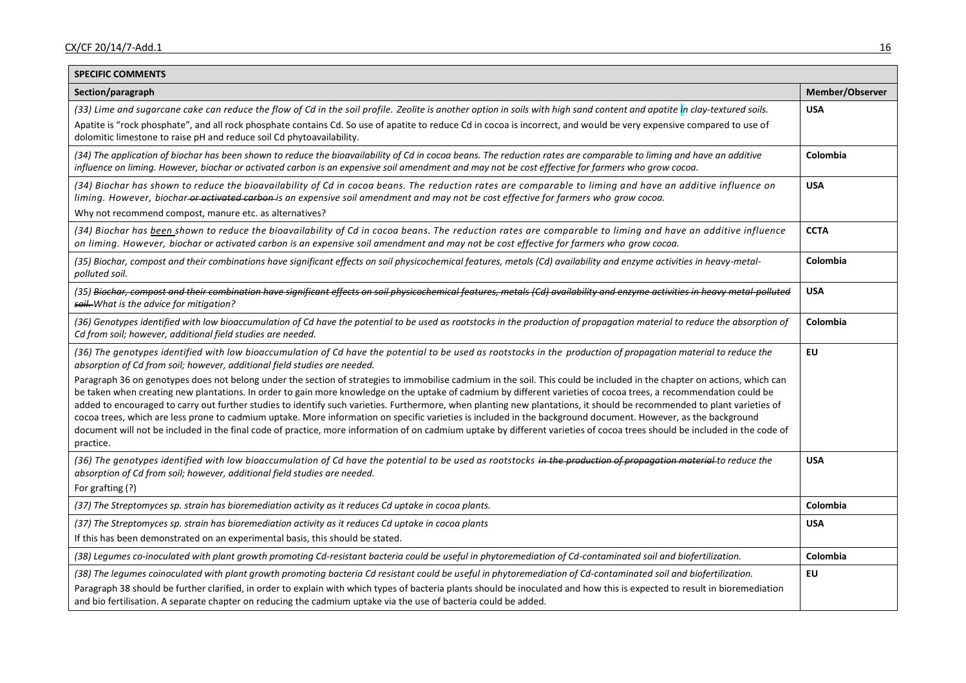| <b>SPECIFIC COMMENTS</b>                                                                                                                                                                                                                                                                                                                                                                                                                                                                                                                                                                                                                                                                                                                                                                                                                                                              |             |  |  |  |
|---------------------------------------------------------------------------------------------------------------------------------------------------------------------------------------------------------------------------------------------------------------------------------------------------------------------------------------------------------------------------------------------------------------------------------------------------------------------------------------------------------------------------------------------------------------------------------------------------------------------------------------------------------------------------------------------------------------------------------------------------------------------------------------------------------------------------------------------------------------------------------------|-------------|--|--|--|
| Section/paragraph                                                                                                                                                                                                                                                                                                                                                                                                                                                                                                                                                                                                                                                                                                                                                                                                                                                                     |             |  |  |  |
| (33) Lime and sugarcane cake can reduce the flow of Cd in the soil profile. Zeolite is another option in soils with high sand content and apatite in clay-textured soils.                                                                                                                                                                                                                                                                                                                                                                                                                                                                                                                                                                                                                                                                                                             |             |  |  |  |
| Apatite is "rock phosphate", and all rock phosphate contains Cd. So use of apatite to reduce Cd in cocoa is incorrect, and would be very expensive compared to use of<br>dolomitic limestone to raise pH and reduce soil Cd phytoavailability.                                                                                                                                                                                                                                                                                                                                                                                                                                                                                                                                                                                                                                        |             |  |  |  |
| (34) The application of biochar has been shown to reduce the bioavailability of Cd in cocoa beans. The reduction rates are comparable to liming and have an additive<br>influence on liming. However, biochar or activated carbon is an expensive soil amendment and may not be cost effective for farmers who grow cocoa.                                                                                                                                                                                                                                                                                                                                                                                                                                                                                                                                                            | Colombia    |  |  |  |
| (34) Biochar has shown to reduce the bioavailability of Cd in cocoa beans. The reduction rates are comparable to liming and have an additive influence on<br>liming. However, biochar-or activated carbon-is an expensive soil amendment and may not be cost effective for farmers who grow cocoa.                                                                                                                                                                                                                                                                                                                                                                                                                                                                                                                                                                                    |             |  |  |  |
| Why not recommend compost, manure etc. as alternatives?                                                                                                                                                                                                                                                                                                                                                                                                                                                                                                                                                                                                                                                                                                                                                                                                                               |             |  |  |  |
| (34) Biochar has been shown to reduce the bioavailability of Cd in cocoa beans. The reduction rates are comparable to liming and have an additive influence<br>on liming. However, biochar or activated carbon is an expensive soil amendment and may not be cost effective for farmers who grow cocoa.                                                                                                                                                                                                                                                                                                                                                                                                                                                                                                                                                                               | <b>CCTA</b> |  |  |  |
| (35) Biochar, compost and their combinations have significant effects on soil physicochemical features, metals (Cd) availability and enzyme activities in heavy-metal-<br>polluted soil.                                                                                                                                                                                                                                                                                                                                                                                                                                                                                                                                                                                                                                                                                              | Colombia    |  |  |  |
| (35) Biochar, compost and their combination have significant effects on soil physicochemical features, metals (Cd) availability and enzyme activities in heavy metal polluted<br>soil. What is the advice for mitigation?                                                                                                                                                                                                                                                                                                                                                                                                                                                                                                                                                                                                                                                             | <b>USA</b>  |  |  |  |
| (36) Genotypes identified with low bioaccumulation of Cd have the potential to be used as rootstocks in the production of propagation material to reduce the absorption of<br>Cd from soil; however, additional field studies are needed.                                                                                                                                                                                                                                                                                                                                                                                                                                                                                                                                                                                                                                             | Colombia    |  |  |  |
| (36) The genotypes identified with low bioaccumulation of Cd have the potential to be used as rootstocks in the production of propagation material to reduce the<br>absorption of Cd from soil; however, additional field studies are needed.                                                                                                                                                                                                                                                                                                                                                                                                                                                                                                                                                                                                                                         | <b>EU</b>   |  |  |  |
| Paragraph 36 on genotypes does not belong under the section of strategies to immobilise cadmium in the soil. This could be included in the chapter on actions, which can<br>be taken when creating new plantations. In order to gain more knowledge on the uptake of cadmium by different varieties of cocoa trees, a recommendation could be<br>added to encouraged to carry out further studies to identify such varieties. Furthermore, when planting new plantations, it should be recommended to plant varieties of<br>cocoa trees, which are less prone to cadmium uptake. More information on specific varieties is included in the background document. However, as the background<br>document will not be included in the final code of practice, more information of on cadmium uptake by different varieties of cocoa trees should be included in the code of<br>practice. |             |  |  |  |
| (36) The genotypes identified with low bioaccumulation of Cd have the potential to be used as rootstocks in the production of propagation material to reduce the<br>absorption of Cd from soil; however, additional field studies are needed.                                                                                                                                                                                                                                                                                                                                                                                                                                                                                                                                                                                                                                         | <b>USA</b>  |  |  |  |
| For grafting (?)                                                                                                                                                                                                                                                                                                                                                                                                                                                                                                                                                                                                                                                                                                                                                                                                                                                                      |             |  |  |  |
| (37) The Streptomyces sp. strain has bioremediation activity as it reduces Cd uptake in cocoa plants.                                                                                                                                                                                                                                                                                                                                                                                                                                                                                                                                                                                                                                                                                                                                                                                 | Colombia    |  |  |  |
| (37) The Streptomyces sp. strain has bioremediation activity as it reduces Cd uptake in cocoa plants<br>If this has been demonstrated on an experimental basis, this should be stated.                                                                                                                                                                                                                                                                                                                                                                                                                                                                                                                                                                                                                                                                                                | <b>USA</b>  |  |  |  |
| (38) Legumes co-inoculated with plant growth promoting Cd-resistant bacteria could be useful in phytoremediation of Cd-contaminated soil and biofertilization.                                                                                                                                                                                                                                                                                                                                                                                                                                                                                                                                                                                                                                                                                                                        | Colombia    |  |  |  |
| (38) The legumes coinoculated with plant growth promoting bacteria Cd resistant could be useful in phytoremediation of Cd-contaminated soil and biofertilization.<br>Paragraph 38 should be further clarified, in order to explain with which types of bacteria plants should be inoculated and how this is expected to result in bioremediation<br>and bio fertilisation. A separate chapter on reducing the cadmium uptake via the use of bacteria could be added.                                                                                                                                                                                                                                                                                                                                                                                                                  | EU          |  |  |  |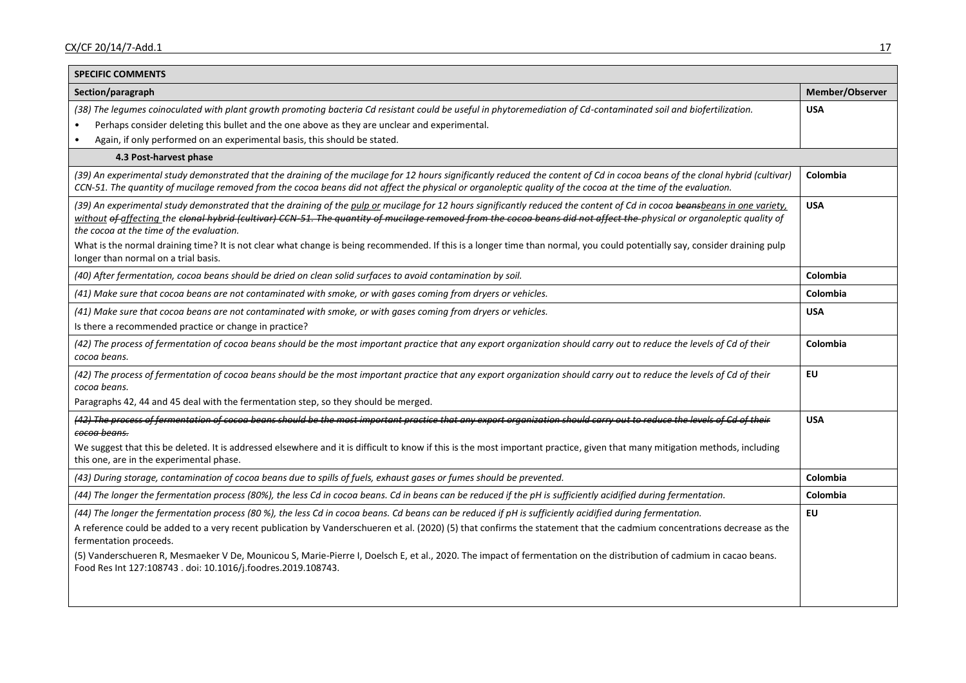| <b>SPECIFIC COMMENTS</b>                                                                                                                                                                                                                                                                                                                                                                                                                                                                                                                                                                                                                      |            |  |  |  |
|-----------------------------------------------------------------------------------------------------------------------------------------------------------------------------------------------------------------------------------------------------------------------------------------------------------------------------------------------------------------------------------------------------------------------------------------------------------------------------------------------------------------------------------------------------------------------------------------------------------------------------------------------|------------|--|--|--|
| Section/paragraph                                                                                                                                                                                                                                                                                                                                                                                                                                                                                                                                                                                                                             |            |  |  |  |
| (38) The legumes coinoculated with plant growth promoting bacteria Cd resistant could be useful in phytoremediation of Cd-contaminated soil and biofertilization.<br>Perhaps consider deleting this bullet and the one above as they are unclear and experimental.<br>Again, if only performed on an experimental basis, this should be stated.                                                                                                                                                                                                                                                                                               | <b>USA</b> |  |  |  |
| 4.3 Post-harvest phase                                                                                                                                                                                                                                                                                                                                                                                                                                                                                                                                                                                                                        |            |  |  |  |
| (39) An experimental study demonstrated that the draining of the mucilage for 12 hours significantly reduced the content of Cd in cocoa beans of the clonal hybrid (cultivar)<br>CCN-51. The quantity of mucilage removed from the cocoa beans did not affect the physical or organoleptic quality of the cocoa at the time of the evaluation.                                                                                                                                                                                                                                                                                                |            |  |  |  |
| (39) An experimental study demonstrated that the draining of the pulp or mucilage for 12 hours significantly reduced the content of Cd in cocoa beansbeans in one variety,<br>without <del>of</del> affecting the <del>clonal hybrid (cultivar) CCN-51. The quantity of mucilage removed from the cocoa beans did not affect the physical or organoleptic quality of</del><br>the cocoa at the time of the evaluation.<br>What is the normal draining time? It is not clear what change is being recommended. If this is a longer time than normal, you could potentially say, consider draining pulp<br>longer than normal on a trial basis. |            |  |  |  |
| (40) After fermentation, cocoa beans should be dried on clean solid surfaces to avoid contamination by soil.                                                                                                                                                                                                                                                                                                                                                                                                                                                                                                                                  | Colombia   |  |  |  |
| (41) Make sure that cocoa beans are not contaminated with smoke, or with gases coming from dryers or vehicles.                                                                                                                                                                                                                                                                                                                                                                                                                                                                                                                                | Colombia   |  |  |  |
| (41) Make sure that cocoa beans are not contaminated with smoke, or with gases coming from dryers or vehicles.<br>Is there a recommended practice or change in practice?                                                                                                                                                                                                                                                                                                                                                                                                                                                                      | <b>USA</b> |  |  |  |
| (42) The process of fermentation of cocoa beans should be the most important practice that any export organization should carry out to reduce the levels of Cd of their<br>cocoa beans.                                                                                                                                                                                                                                                                                                                                                                                                                                                       |            |  |  |  |
| (42) The process of fermentation of cocoa beans should be the most important practice that any export organization should carry out to reduce the levels of Cd of their<br>cocoa beans.                                                                                                                                                                                                                                                                                                                                                                                                                                                       |            |  |  |  |
| Paragraphs 42, 44 and 45 deal with the fermentation step, so they should be merged.<br>(42) The process of fermentation of cocoa beans should be the most important practice that any export organization should carry out to reduce the levels of Cd of their                                                                                                                                                                                                                                                                                                                                                                                | <b>USA</b> |  |  |  |
| <del>cocoa beans.</del>                                                                                                                                                                                                                                                                                                                                                                                                                                                                                                                                                                                                                       |            |  |  |  |
| We suggest that this be deleted. It is addressed elsewhere and it is difficult to know if this is the most important practice, given that many mitigation methods, including<br>this one, are in the experimental phase.                                                                                                                                                                                                                                                                                                                                                                                                                      |            |  |  |  |
| (43) During storage, contamination of cocoa beans due to spills of fuels, exhaust gases or fumes should be prevented.                                                                                                                                                                                                                                                                                                                                                                                                                                                                                                                         | Colombia   |  |  |  |
| (44) The longer the fermentation process (80%), the less Cd in cocoa beans. Cd in beans can be reduced if the pH is sufficiently acidified during fermentation.                                                                                                                                                                                                                                                                                                                                                                                                                                                                               | Colombia   |  |  |  |
| (44) The longer the fermentation process (80 %), the less Cd in cocoa beans. Cd beans can be reduced if pH is sufficiently acidified during fermentation.<br>A reference could be added to a very recent publication by Vanderschueren et al. (2020) (5) that confirms the statement that the cadmium concentrations decrease as the<br>fermentation proceeds.<br>(5) Vanderschueren R, Mesmaeker V De, Mounicou S, Marie-Pierre I, Doelsch E, et al., 2020. The impact of fermentation on the distribution of cadmium in cacao beans.<br>Food Res Int 127:108743 . doi: 10.1016/j.foodres.2019.108743.                                       | EU         |  |  |  |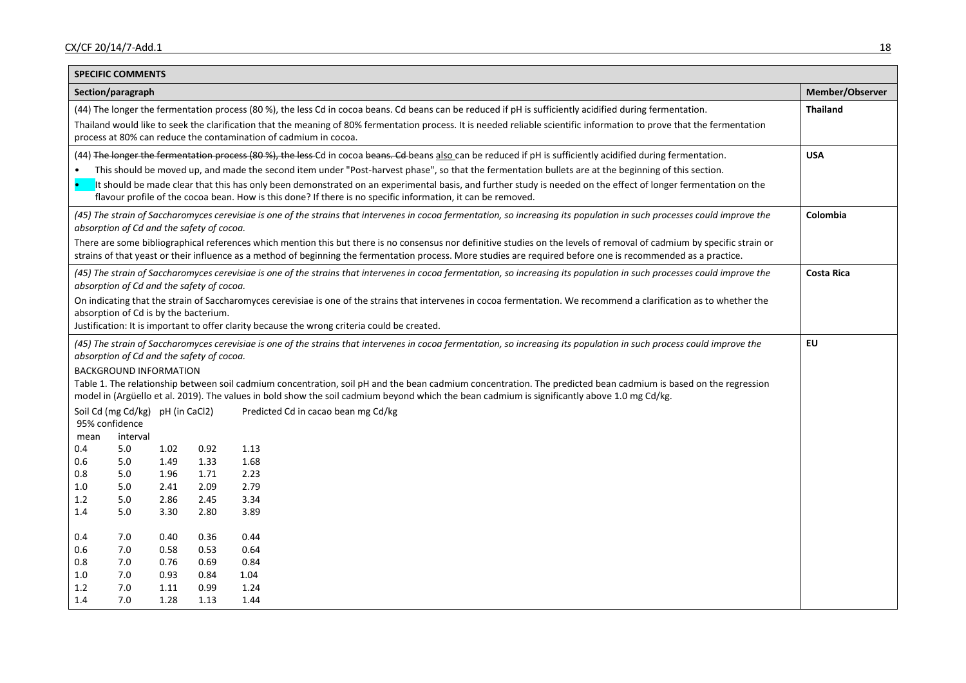| <b>SPECIFIC COMMENTS</b>                                                                                                                                                                                                                                                                                                                  |              |              |                                                                                                                                                                       |                   |  |
|-------------------------------------------------------------------------------------------------------------------------------------------------------------------------------------------------------------------------------------------------------------------------------------------------------------------------------------------|--------------|--------------|-----------------------------------------------------------------------------------------------------------------------------------------------------------------------|-------------------|--|
| Section/paragraph                                                                                                                                                                                                                                                                                                                         |              |              |                                                                                                                                                                       | Member/Observer   |  |
| (44) The longer the fermentation process (80 %), the less Cd in cocoa beans. Cd beans can be reduced if pH is sufficiently acidified during fermentation.                                                                                                                                                                                 |              |              |                                                                                                                                                                       | <b>Thailand</b>   |  |
| Thailand would like to seek the clarification that the meaning of 80% fermentation process. It is needed reliable scientific information to prove that the fermentation<br>process at 80% can reduce the contamination of cadmium in cocoa.                                                                                               |              |              |                                                                                                                                                                       |                   |  |
|                                                                                                                                                                                                                                                                                                                                           |              |              | (44) The longer the fermentation process (80%), the less-Cd in cocoa beans. Cd beans also can be reduced if pH is sufficiently acidified during fermentation.         | <b>USA</b>        |  |
|                                                                                                                                                                                                                                                                                                                                           |              |              | This should be moved up, and made the second item under "Post-harvest phase", so that the fermentation bullets are at the beginning of this section.                  |                   |  |
| It should be made clear that this has only been demonstrated on an experimental basis, and further study is needed on the effect of longer fermentation on the<br>flavour profile of the cocoa bean. How is this done? If there is no specific information, it can be removed.                                                            |              |              |                                                                                                                                                                       |                   |  |
| (45) The strain of Saccharomyces cerevisiae is one of the strains that intervenes in cocoa fermentation, so increasing its population in such processes could improve the<br>absorption of Cd and the safety of cocoa.                                                                                                                    |              |              |                                                                                                                                                                       | Colombia          |  |
| There are some bibliographical references which mention this but there is no consensus nor definitive studies on the levels of removal of cadmium by specific strain or<br>strains of that yeast or their influence as a method of beginning the fermentation process. More studies are required before one is recommended as a practice. |              |              |                                                                                                                                                                       |                   |  |
| (45) The strain of Saccharomyces cerevisiae is one of the strains that intervenes in cocoa fermentation, so increasing its population in such processes could improve the<br>absorption of Cd and the safety of cocoa.                                                                                                                    |              |              |                                                                                                                                                                       | <b>Costa Rica</b> |  |
|                                                                                                                                                                                                                                                                                                                                           |              |              | On indicating that the strain of Saccharomyces cerevisiae is one of the strains that intervenes in cocoa fermentation. We recommend a clarification as to whether the |                   |  |
| absorption of Cd is by the bacterium.                                                                                                                                                                                                                                                                                                     |              |              |                                                                                                                                                                       |                   |  |
|                                                                                                                                                                                                                                                                                                                                           |              |              | Justification: It is important to offer clarity because the wrong criteria could be created.                                                                          |                   |  |
| (45) The strain of Saccharomyces cerevisiae is one of the strains that intervenes in cocoa fermentation, so increasing its population in such process could improve the<br>absorption of Cd and the safety of cocoa.                                                                                                                      |              |              |                                                                                                                                                                       | <b>EU</b>         |  |
| <b>BACKGROUND INFORMATION</b>                                                                                                                                                                                                                                                                                                             |              |              |                                                                                                                                                                       |                   |  |
|                                                                                                                                                                                                                                                                                                                                           |              |              | Table 1. The relationship between soil cadmium concentration, soil pH and the bean cadmium concentration. The predicted bean cadmium is based on the regression       |                   |  |
| model in (Argüello et al. 2019). The values in bold show the soil cadmium beyond which the bean cadmium is significantly above 1.0 mg Cd/kg.<br>Soil Cd (mg Cd/kg) pH (in CaCl2)                                                                                                                                                          |              |              |                                                                                                                                                                       |                   |  |
| 95% confidence                                                                                                                                                                                                                                                                                                                            |              |              | Predicted Cd in cacao bean mg Cd/kg                                                                                                                                   |                   |  |
| mean<br>interval                                                                                                                                                                                                                                                                                                                          |              |              |                                                                                                                                                                       |                   |  |
| 5.0<br>0.4                                                                                                                                                                                                                                                                                                                                | 1.02         | 0.92         | 1.13                                                                                                                                                                  |                   |  |
| 0.6<br>5.0                                                                                                                                                                                                                                                                                                                                | 1.49         | 1.33         | 1.68                                                                                                                                                                  |                   |  |
| 0.8<br>5.0                                                                                                                                                                                                                                                                                                                                | 1.96         | 1.71         | 2.23                                                                                                                                                                  |                   |  |
| 1.0<br>5.0<br>1.2<br>5.0                                                                                                                                                                                                                                                                                                                  | 2.41<br>2.86 | 2.09<br>2.45 | 2.79<br>3.34                                                                                                                                                          |                   |  |
| 1.4<br>5.0                                                                                                                                                                                                                                                                                                                                | 3.30         | 2.80         | 3.89                                                                                                                                                                  |                   |  |
|                                                                                                                                                                                                                                                                                                                                           |              |              |                                                                                                                                                                       |                   |  |
| 7.0<br>0.4                                                                                                                                                                                                                                                                                                                                | 0.40         | 0.36         | 0.44                                                                                                                                                                  |                   |  |
| 0.6<br>7.0                                                                                                                                                                                                                                                                                                                                | 0.58         | 0.53         | 0.64                                                                                                                                                                  |                   |  |
| 0.8<br>7.0                                                                                                                                                                                                                                                                                                                                | 0.76         | 0.69         | 0.84                                                                                                                                                                  |                   |  |
| $1.0\,$<br>7.0                                                                                                                                                                                                                                                                                                                            | 0.93         | 0.84         | 1.04                                                                                                                                                                  |                   |  |
| 1.2<br>7.0<br>1.4<br>7.0                                                                                                                                                                                                                                                                                                                  | 1.11<br>1.28 | 0.99<br>1.13 | 1.24<br>1.44                                                                                                                                                          |                   |  |
|                                                                                                                                                                                                                                                                                                                                           |              |              |                                                                                                                                                                       |                   |  |